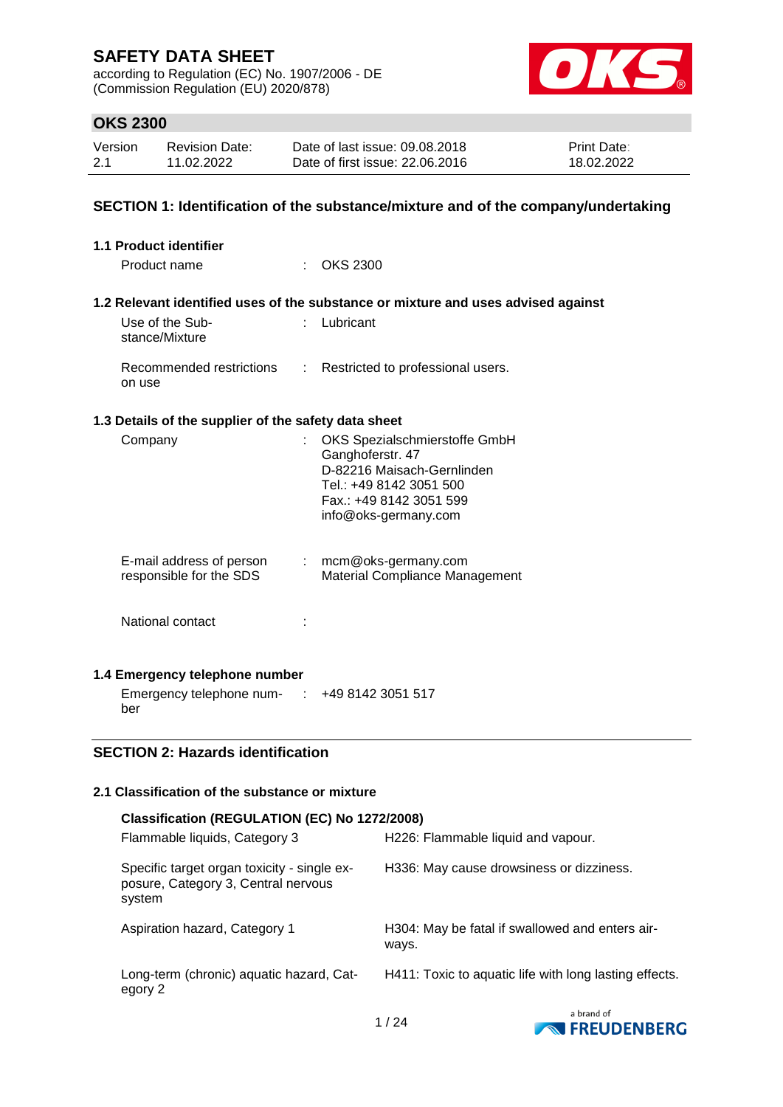according to Regulation (EC) No. 1907/2006 - DE (Commission Regulation (EU) 2020/878)



### **OKS 2300**

| Version | <b>Revision Date:</b> | Date of last issue: 09.08.2018  | <b>Print Date:</b> |
|---------|-----------------------|---------------------------------|--------------------|
| 2.1     | 11.02.2022            | Date of first issue: 22.06.2016 | 18.02.2022         |

### **SECTION 1: Identification of the substance/mixture and of the company/undertaking**

| <b>1.1 Product identifier</b>                        |                                                                                                                                                                                                                                                                                                                                                                                                                               |                                                                                                                                                               |
|------------------------------------------------------|-------------------------------------------------------------------------------------------------------------------------------------------------------------------------------------------------------------------------------------------------------------------------------------------------------------------------------------------------------------------------------------------------------------------------------|---------------------------------------------------------------------------------------------------------------------------------------------------------------|
| Product name                                         |                                                                                                                                                                                                                                                                                                                                                                                                                               | : OKS 2300                                                                                                                                                    |
|                                                      |                                                                                                                                                                                                                                                                                                                                                                                                                               | 1.2 Relevant identified uses of the substance or mixture and uses advised against                                                                             |
| Use of the Sub-<br>stance/Mixture                    |                                                                                                                                                                                                                                                                                                                                                                                                                               | : Lubricant                                                                                                                                                   |
| Recommended restrictions<br>on use                   | $\mathcal{I}^{\mathcal{I}^{\mathcal{I}^{\mathcal{I}^{\mathcal{I}^{\mathcal{I}^{\mathcal{I}^{\mathcal{I}^{\mathcal{I}^{\mathcal{I}^{\mathcal{I}^{\mathcal{I}^{\mathcal{I}^{\mathcal{I}^{\mathcal{I}^{\mathcal{I}^{\mathcal{I}^{\mathcal{I}^{\mathcal{I}^{\mathcal{I}^{\mathcal{I}^{\mathcal{I}^{\mathcal{I}^{\mathcal{I}^{\mathcal{I}^{\mathcal{I}^{\mathcal{I}^{\mathcal{I}^{\mathcal{I}^{\mathcal{I}^{\mathcal{I}^{\mathcal$ | Restricted to professional users.                                                                                                                             |
| 1.3 Details of the supplier of the safety data sheet |                                                                                                                                                                                                                                                                                                                                                                                                                               |                                                                                                                                                               |
| Company                                              |                                                                                                                                                                                                                                                                                                                                                                                                                               | OKS Spezialschmierstoffe GmbH<br>Ganghoferstr. 47<br>D-82216 Maisach-Gernlinden<br>Tel.: +49 8142 3051 500<br>Fax.: +49 8142 3051 599<br>info@oks-germany.com |
| E-mail address of person<br>responsible for the SDS  |                                                                                                                                                                                                                                                                                                                                                                                                                               | $:$ mcm@oks-germany.com<br>Material Compliance Management                                                                                                     |
| National contact                                     |                                                                                                                                                                                                                                                                                                                                                                                                                               |                                                                                                                                                               |
| 1.4 Emergency telephone number                       |                                                                                                                                                                                                                                                                                                                                                                                                                               |                                                                                                                                                               |
| Emergency telephone num- :                           |                                                                                                                                                                                                                                                                                                                                                                                                                               | +49 8142 3051 517                                                                                                                                             |

# **SECTION 2: Hazards identification**

ber

## **2.1 Classification of the substance or mixture**

| Classification (REGULATION (EC) No 1272/2008)                                                |                                                          |  |  |  |  |  |
|----------------------------------------------------------------------------------------------|----------------------------------------------------------|--|--|--|--|--|
| Flammable liquids, Category 3                                                                | H226: Flammable liquid and vapour.                       |  |  |  |  |  |
| Specific target organ toxicity - single ex-<br>posure, Category 3, Central nervous<br>system | H336: May cause drowsiness or dizziness.                 |  |  |  |  |  |
| Aspiration hazard, Category 1                                                                | H304: May be fatal if swallowed and enters air-<br>ways. |  |  |  |  |  |
| Long-term (chronic) aquatic hazard, Cat-<br>egory 2                                          | H411: Toxic to aquatic life with long lasting effects.   |  |  |  |  |  |
|                                                                                              | a brand of                                               |  |  |  |  |  |

**EXPRESSION FREUDENBERG**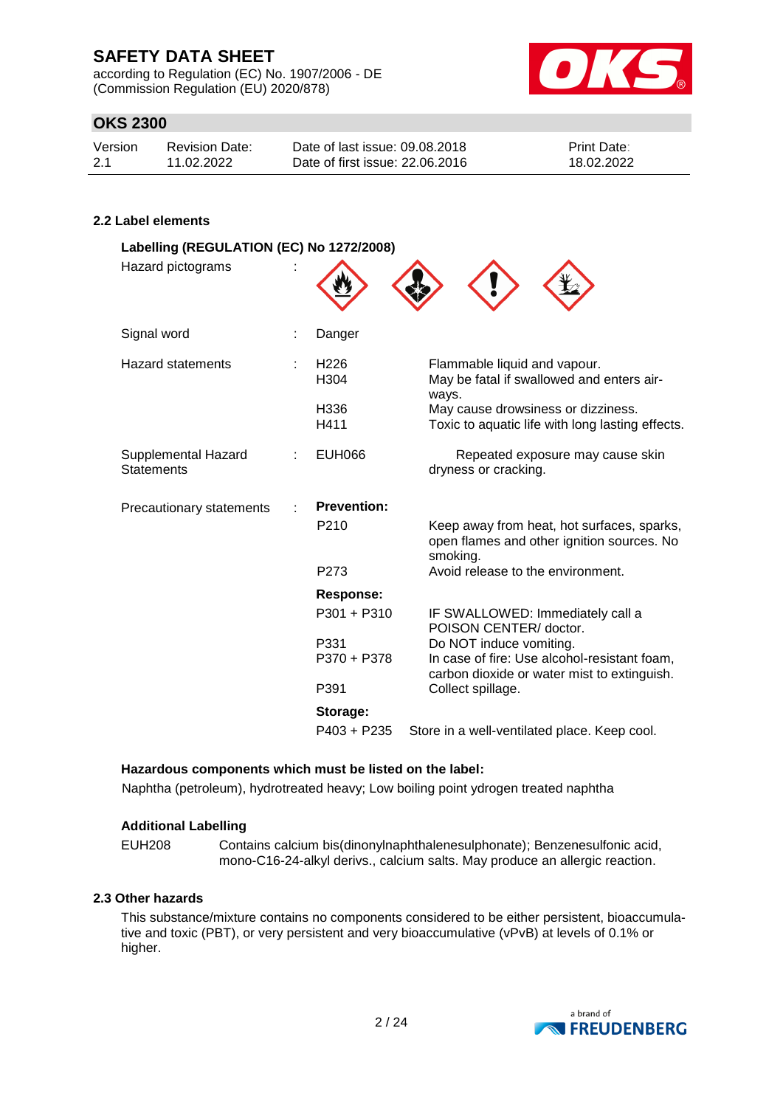according to Regulation (EC) No. 1907/2006 - DE (Commission Regulation (EU) 2020/878)



### **OKS 2300**

| Version | Revision Date: | Date of last issue: 09.08.2018  | <b>Print Date:</b> |
|---------|----------------|---------------------------------|--------------------|
| -2.1    | 11.02.2022     | Date of first issue: 22,06,2016 | 18.02.2022         |

#### **2.2 Label elements**

| Labelling (REGULATION (EC) No 1272/2008)<br>Hazard pictograms |                          |                                                                                                      |
|---------------------------------------------------------------|--------------------------|------------------------------------------------------------------------------------------------------|
| Signal word                                                   | Danger                   |                                                                                                      |
| <b>Hazard statements</b>                                      | H <sub>226</sub><br>H304 | Flammable liquid and vapour.<br>May be fatal if swallowed and enters air-<br>ways.                   |
|                                                               | H336<br>H411             | May cause drowsiness or dizziness.<br>Toxic to aquatic life with long lasting effects.               |
| Supplemental Hazard<br><b>Statements</b>                      | <b>EUH066</b>            | Repeated exposure may cause skin<br>dryness or cracking.                                             |
| Precautionary statements                                      | <b>Prevention:</b>       |                                                                                                      |
|                                                               | P <sub>210</sub>         | Keep away from heat, hot surfaces, sparks,<br>open flames and other ignition sources. No<br>smoking. |
|                                                               | P273                     | Avoid release to the environment.                                                                    |
|                                                               | Response:                |                                                                                                      |
|                                                               | $P301 + P310$            | IF SWALLOWED: Immediately call a<br>POISON CENTER/ doctor.                                           |
|                                                               | P331                     | Do NOT induce vomiting.                                                                              |
|                                                               | P370 + P378              | In case of fire: Use alcohol-resistant foam,<br>carbon dioxide or water mist to extinguish.          |
|                                                               | P391                     | Collect spillage.                                                                                    |
|                                                               | Storage:                 |                                                                                                      |
|                                                               | $P403 + P235$            | Store in a well-ventilated place. Keep cool.                                                         |

#### **Hazardous components which must be listed on the label:**

Naphtha (petroleum), hydrotreated heavy; Low boiling point ydrogen treated naphtha

#### **Additional Labelling**

EUH208 Contains calcium bis(dinonylnaphthalenesulphonate); Benzenesulfonic acid, mono-C16-24-alkyl derivs., calcium salts. May produce an allergic reaction.

#### **2.3 Other hazards**

This substance/mixture contains no components considered to be either persistent, bioaccumulative and toxic (PBT), or very persistent and very bioaccumulative (vPvB) at levels of 0.1% or higher.

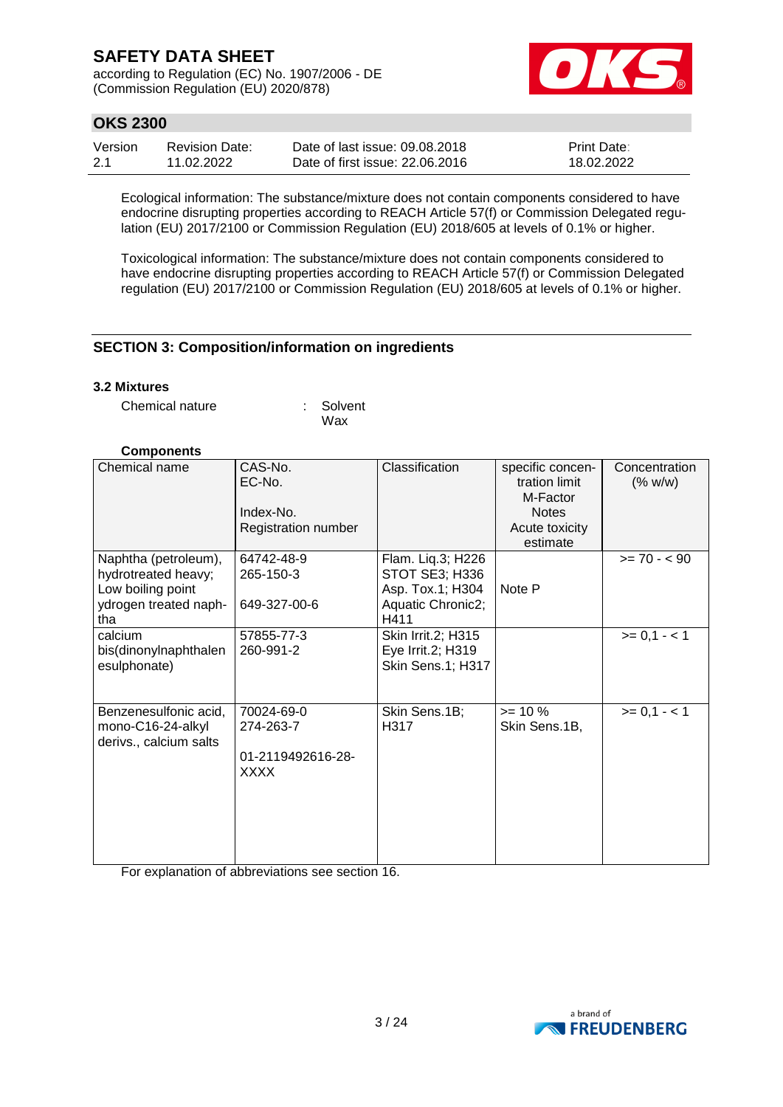according to Regulation (EC) No. 1907/2006 - DE (Commission Regulation (EU) 2020/878)



### **OKS 2300**

| Version | Revision Date: | Date of last issue: 09.08.2018  | <b>Print Date:</b> |
|---------|----------------|---------------------------------|--------------------|
| -2.1    | 11.02.2022     | Date of first issue: 22,06,2016 | 18.02.2022         |

Ecological information: The substance/mixture does not contain components considered to have endocrine disrupting properties according to REACH Article 57(f) or Commission Delegated regulation (EU) 2017/2100 or Commission Regulation (EU) 2018/605 at levels of 0.1% or higher.

Toxicological information: The substance/mixture does not contain components considered to have endocrine disrupting properties according to REACH Article 57(f) or Commission Delegated regulation (EU) 2017/2100 or Commission Regulation (EU) 2018/605 at levels of 0.1% or higher.

### **SECTION 3: Composition/information on ingredients**

#### **3.2 Mixtures**

Chemical nature : Solvent Wax

#### **Components**

| Chemical name                                                                                    | CAS-No.<br>EC-No.<br>Index-No.<br>Registration number | Classification                                                                              | specific concen-<br>tration limit<br>M-Factor<br><b>Notes</b><br>Acute toxicity<br>estimate | Concentration<br>(% w/w) |
|--------------------------------------------------------------------------------------------------|-------------------------------------------------------|---------------------------------------------------------------------------------------------|---------------------------------------------------------------------------------------------|--------------------------|
| Naphtha (petroleum),<br>hydrotreated heavy;<br>Low boiling point<br>ydrogen treated naph-<br>tha | 64742-48-9<br>265-150-3<br>649-327-00-6               | Flam. Liq.3; H226<br><b>STOT SE3; H336</b><br>Asp. Tox.1; H304<br>Aquatic Chronic2;<br>H411 | Note P                                                                                      | $>= 70 - 90$             |
| calcium<br>bis(dinonylnaphthalen<br>esulphonate)                                                 | 57855-77-3<br>260-991-2                               | Skin Irrit.2; H315<br>Eye Irrit.2; H319<br>Skin Sens.1; H317                                |                                                                                             | $>= 0,1 - 1$             |
| Benzenesulfonic acid,<br>mono-C16-24-alkyl<br>derivs., calcium salts                             | 70024-69-0<br>274-263-7<br>01-2119492616-28-<br>XXXX  | Skin Sens.1B;<br>H317                                                                       | $>= 10 %$<br>Skin Sens.1B,                                                                  | $>= 0,1 - 1$             |

For explanation of abbreviations see section 16.

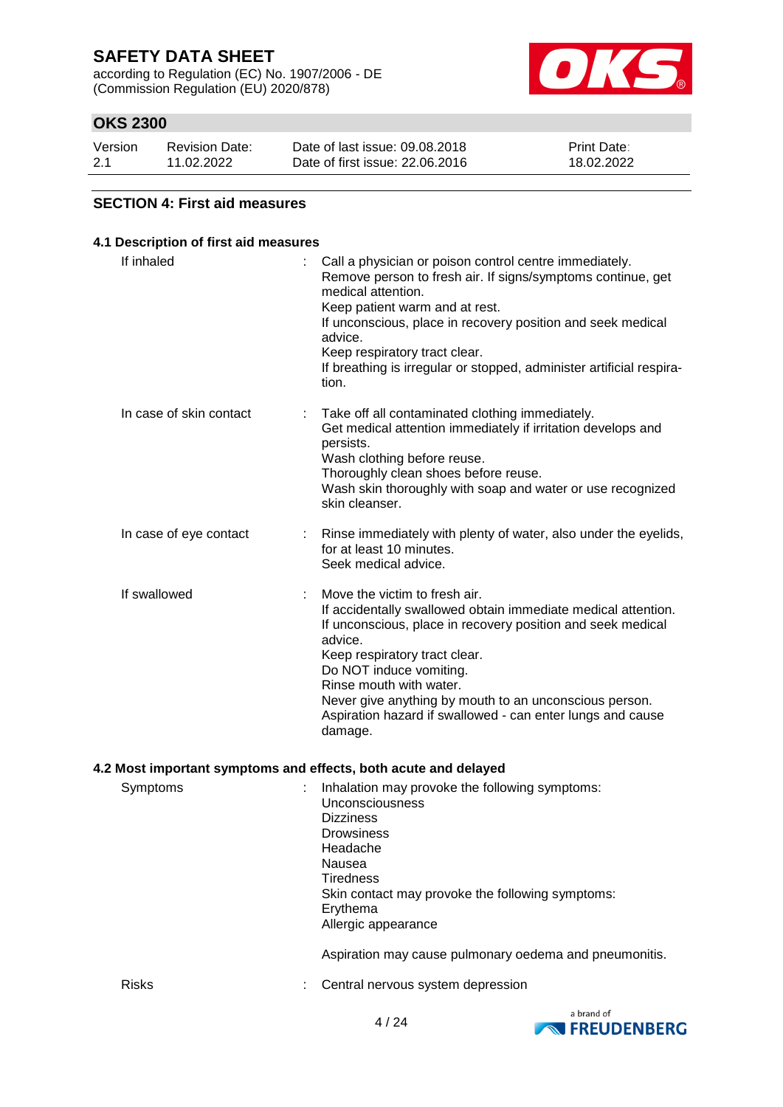according to Regulation (EC) No. 1907/2006 - DE (Commission Regulation (EU) 2020/878)



### **OKS 2300**

| Version | <b>Revision Date:</b> | Date of last issue: 09.08.2018  | <b>Print Date:</b> |
|---------|-----------------------|---------------------------------|--------------------|
| 2.1     | 11.02.2022            | Date of first issue: 22,06,2016 | 18.02.2022         |

#### **SECTION 4: First aid measures**

### **4.1 Description of first aid measures** If inhaled  $\blacksquare$  : Call a physician or poison control centre immediately. Remove person to fresh air. If signs/symptoms continue, get medical attention. Keep patient warm and at rest. If unconscious, place in recovery position and seek medical advice. Keep respiratory tract clear. If breathing is irregular or stopped, administer artificial respiration. In case of skin contact : Take off all contaminated clothing immediately. Get medical attention immediately if irritation develops and persists. Wash clothing before reuse. Thoroughly clean shoes before reuse. Wash skin thoroughly with soap and water or use recognized skin cleanser. In case of eye contact : Rinse immediately with plenty of water, also under the eyelids, for at least 10 minutes. Seek medical advice. If swallowed : Move the victim to fresh air. If accidentally swallowed obtain immediate medical attention. If unconscious, place in recovery position and seek medical advice. Keep respiratory tract clear. Do NOT induce vomiting. Rinse mouth with water. Never give anything by mouth to an unconscious person. Aspiration hazard if swallowed - can enter lungs and cause damage. **4.2 Most important symptoms and effects, both acute and delayed**

| Symptoms     | Inhalation may provoke the following symptoms:<br>Unconsciousness<br><b>Dizziness</b><br><b>Drowsiness</b><br>Headache<br>Nausea<br><b>Tiredness</b><br>Skin contact may provoke the following symptoms:<br>Erythema<br>Allergic appearance |
|--------------|---------------------------------------------------------------------------------------------------------------------------------------------------------------------------------------------------------------------------------------------|
|              | Aspiration may cause pulmonary oedema and pneumonitis.                                                                                                                                                                                      |
| <b>Risks</b> | Central nervous system depression                                                                                                                                                                                                           |

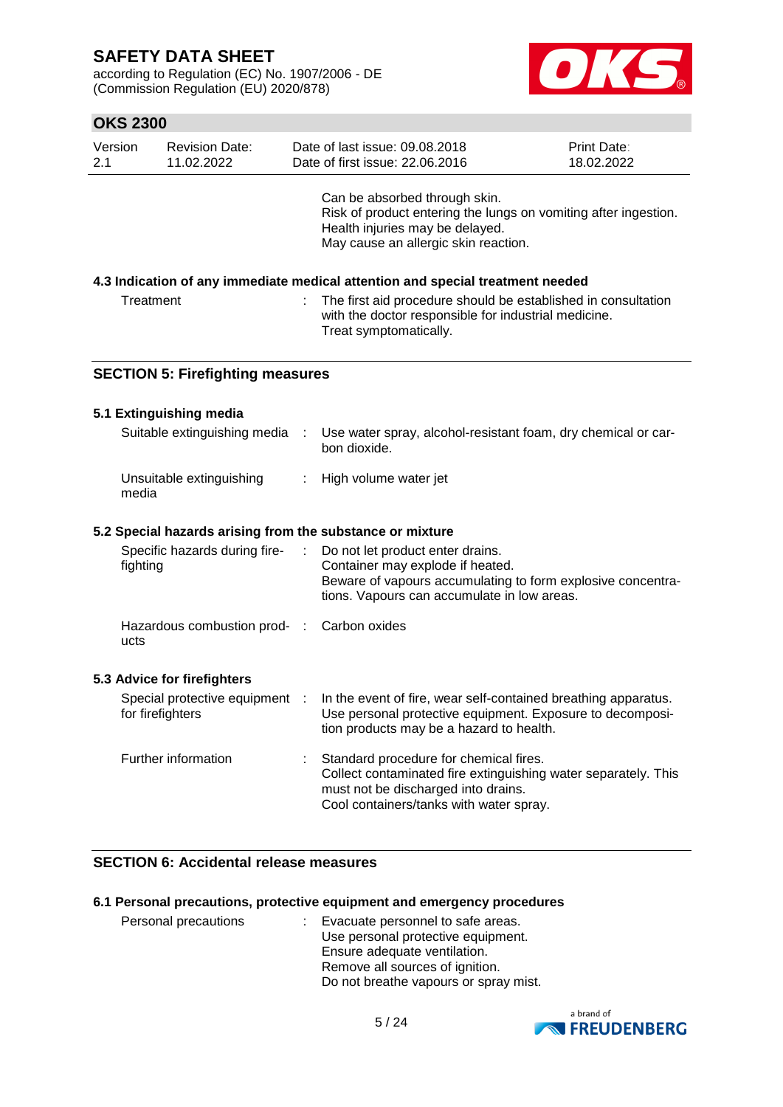according to Regulation (EC) No. 1907/2006 - DE (Commission Regulation (EU) 2020/878)



|                                                                                                                                                              | <b>OKS 2300</b>                                           |   |                                                                                                                                                                                            |                           |  |  |  |
|--------------------------------------------------------------------------------------------------------------------------------------------------------------|-----------------------------------------------------------|---|--------------------------------------------------------------------------------------------------------------------------------------------------------------------------------------------|---------------------------|--|--|--|
| Version<br>2.1                                                                                                                                               | <b>Revision Date:</b><br>11.02.2022                       |   | Date of last issue: 09.08.2018<br>Date of first issue: 22.06.2016                                                                                                                          | Print Date:<br>18.02.2022 |  |  |  |
|                                                                                                                                                              |                                                           |   | Can be absorbed through skin.<br>Risk of product entering the lungs on vomiting after ingestion.<br>Health injuries may be delayed.<br>May cause an allergic skin reaction.                |                           |  |  |  |
|                                                                                                                                                              |                                                           |   | 4.3 Indication of any immediate medical attention and special treatment needed                                                                                                             |                           |  |  |  |
| Treatment<br>The first aid procedure should be established in consultation<br>with the doctor responsible for industrial medicine.<br>Treat symptomatically. |                                                           |   |                                                                                                                                                                                            |                           |  |  |  |
|                                                                                                                                                              | <b>SECTION 5: Firefighting measures</b>                   |   |                                                                                                                                                                                            |                           |  |  |  |
|                                                                                                                                                              | 5.1 Extinguishing media                                   |   |                                                                                                                                                                                            |                           |  |  |  |
|                                                                                                                                                              | Suitable extinguishing media                              | ÷ | Use water spray, alcohol-resistant foam, dry chemical or car-<br>bon dioxide.                                                                                                              |                           |  |  |  |
|                                                                                                                                                              | Unsuitable extinguishing<br>media                         |   | High volume water jet                                                                                                                                                                      |                           |  |  |  |
|                                                                                                                                                              | 5.2 Special hazards arising from the substance or mixture |   |                                                                                                                                                                                            |                           |  |  |  |
|                                                                                                                                                              | Specific hazards during fire-<br>fighting                 |   | Do not let product enter drains.<br>Container may explode if heated.<br>Beware of vapours accumulating to form explosive concentra-<br>tions. Vapours can accumulate in low areas.         |                           |  |  |  |
|                                                                                                                                                              | Hazardous combustion prod- : Carbon oxides<br>ucts        |   |                                                                                                                                                                                            |                           |  |  |  |
|                                                                                                                                                              | 5.3 Advice for firefighters                               |   |                                                                                                                                                                                            |                           |  |  |  |
|                                                                                                                                                              | Special protective equipment<br>for firefighters          |   | In the event of fire, wear self-contained breathing apparatus.<br>Use personal protective equipment. Exposure to decomposi-<br>tion products may be a hazard to health.                    |                           |  |  |  |
|                                                                                                                                                              | Further information                                       |   | Standard procedure for chemical fires.<br>Collect contaminated fire extinguishing water separately. This<br>must not be discharged into drains.<br>Cool containers/tanks with water spray. |                           |  |  |  |

### **SECTION 6: Accidental release measures**

### **6.1 Personal precautions, protective equipment and emergency procedures**

| Personal precautions | : Evacuate personnel to safe areas.<br>Use personal protective equipment.<br>Ensure adequate ventilation. |
|----------------------|-----------------------------------------------------------------------------------------------------------|
|                      | Remove all sources of ignition.                                                                           |
|                      | Do not breathe vapours or spray mist.                                                                     |

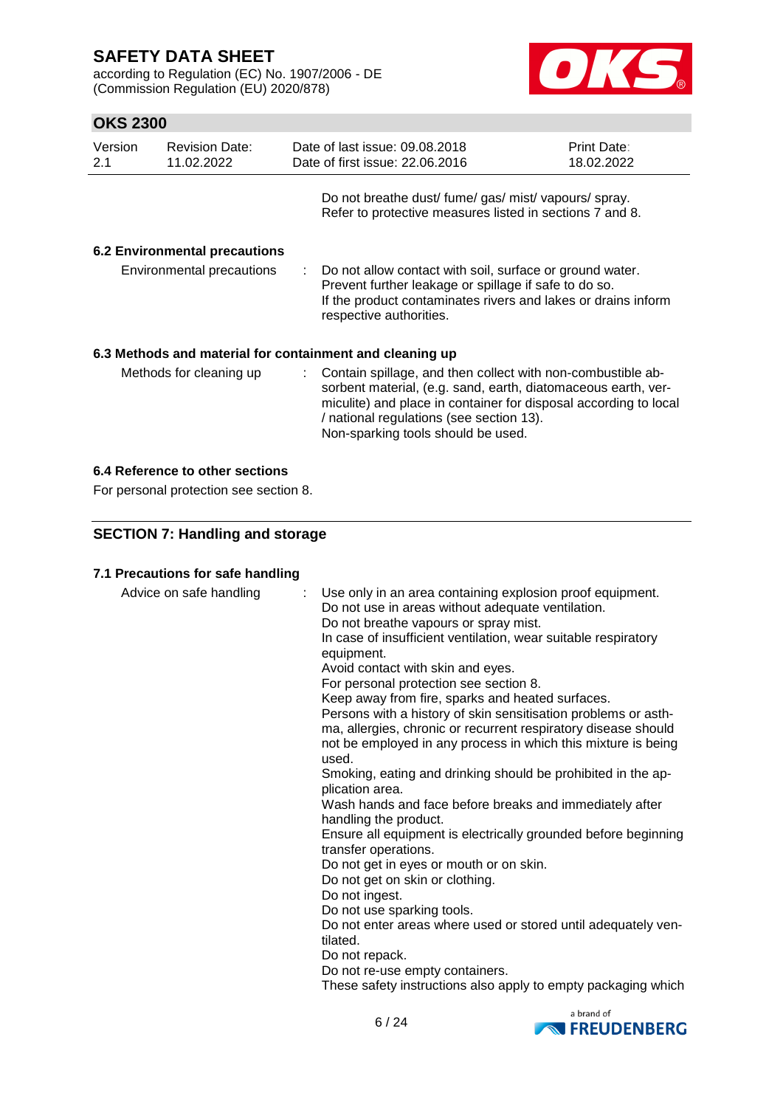according to Regulation (EC) No. 1907/2006 - DE (Commission Regulation (EU) 2020/878)



### **OKS 2300**

| Version<br>2.1            | <b>Revision Date:</b><br>11.02.2022  | Date of last issue: 09.08.2018<br>Date of first issue: 22.06.2016                                                                                                                                                                                                                    | Print Date:<br>18.02.2022 |
|---------------------------|--------------------------------------|--------------------------------------------------------------------------------------------------------------------------------------------------------------------------------------------------------------------------------------------------------------------------------------|---------------------------|
|                           |                                      | Do not breathe dust/ fume/ gas/ mist/ vapours/ spray.<br>Refer to protective measures listed in sections 7 and 8.                                                                                                                                                                    |                           |
|                           | <b>6.2 Environmental precautions</b> |                                                                                                                                                                                                                                                                                      |                           |
| Environmental precautions |                                      | Do not allow contact with soil, surface or ground water.<br>Prevent further leakage or spillage if safe to do so.<br>If the product contaminates rivers and lakes or drains inform<br>respective authorities.                                                                        |                           |
|                           |                                      | 6.3 Methods and material for containment and cleaning up                                                                                                                                                                                                                             |                           |
| Methods for cleaning up   |                                      | : Contain spillage, and then collect with non-combustible ab-<br>sorbent material, (e.g. sand, earth, diatomaceous earth, ver-<br>miculite) and place in container for disposal according to local<br>/ national regulations (see section 13).<br>Non-sparking tools should be used. |                           |

### **6.4 Reference to other sections**

For personal protection see section 8.

### **SECTION 7: Handling and storage**

#### **7.1 Precautions for safe handling**

| Advice on safe handling | : Use only in an area containing explosion proof equipment.<br>Do not use in areas without adequate ventilation.<br>Do not breathe vapours or spray mist.<br>In case of insufficient ventilation, wear suitable respiratory<br>equipment.<br>Avoid contact with skin and eyes.<br>For personal protection see section 8.<br>Keep away from fire, sparks and heated surfaces.<br>Persons with a history of skin sensitisation problems or asth-<br>ma, allergies, chronic or recurrent respiratory disease should<br>not be employed in any process in which this mixture is being<br>used.<br>Smoking, eating and drinking should be prohibited in the ap-<br>plication area.<br>Wash hands and face before breaks and immediately after<br>handling the product.<br>Ensure all equipment is electrically grounded before beginning<br>transfer operations.<br>Do not get in eyes or mouth or on skin.<br>Do not get on skin or clothing.<br>Do not ingest.<br>Do not use sparking tools.<br>Do not enter areas where used or stored until adequately ven-<br>tilated.<br>Do not repack.<br>Do not re-use empty containers.<br>These safety instructions also apply to empty packaging which |
|-------------------------|----------------------------------------------------------------------------------------------------------------------------------------------------------------------------------------------------------------------------------------------------------------------------------------------------------------------------------------------------------------------------------------------------------------------------------------------------------------------------------------------------------------------------------------------------------------------------------------------------------------------------------------------------------------------------------------------------------------------------------------------------------------------------------------------------------------------------------------------------------------------------------------------------------------------------------------------------------------------------------------------------------------------------------------------------------------------------------------------------------------------------------------------------------------------------------------------|
|                         |                                                                                                                                                                                                                                                                                                                                                                                                                                                                                                                                                                                                                                                                                                                                                                                                                                                                                                                                                                                                                                                                                                                                                                                              |

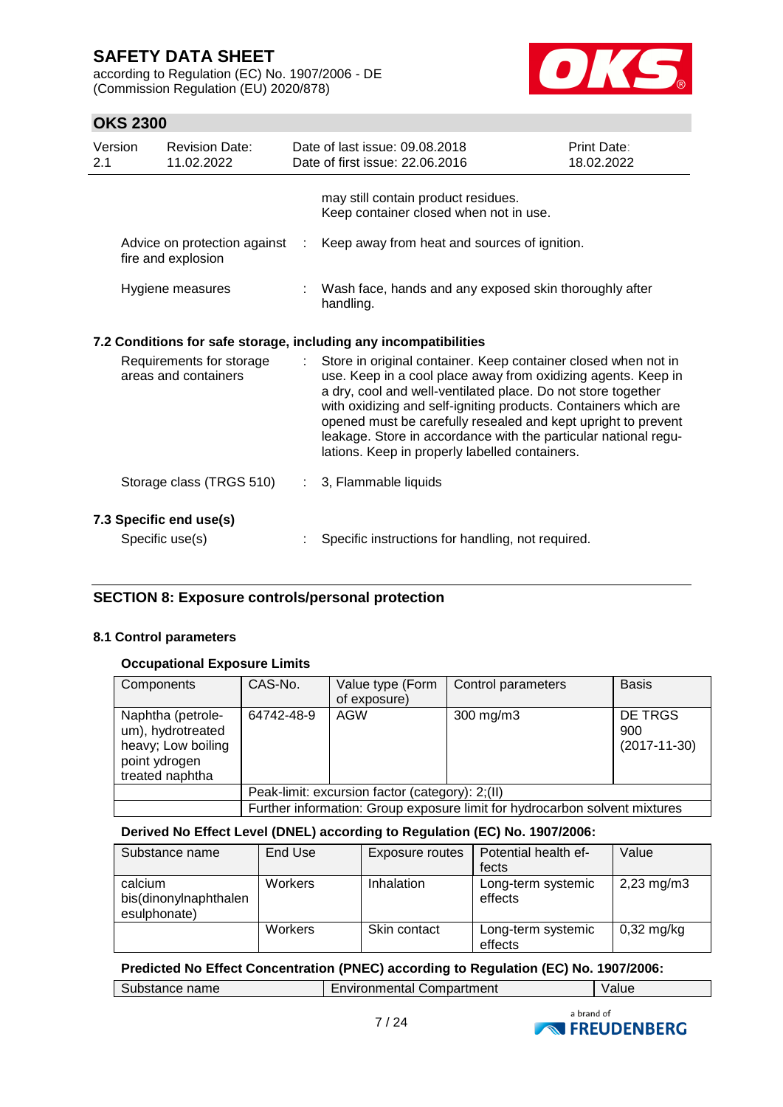according to Regulation (EC) No. 1907/2006 - DE (Commission Regulation (EU) 2020/878)



### **OKS 2300**

| Version<br>2.1 |                                                                  | <b>Revision Date:</b><br>11.02.2022                |            | Date of last issue: 09.08.2018<br>Date of first issue: 22.06.2016                                                                                                                                                                                                                                                                                                                                                                                        | Print Date:<br>18.02.2022 |  |
|----------------|------------------------------------------------------------------|----------------------------------------------------|------------|----------------------------------------------------------------------------------------------------------------------------------------------------------------------------------------------------------------------------------------------------------------------------------------------------------------------------------------------------------------------------------------------------------------------------------------------------------|---------------------------|--|
|                |                                                                  |                                                    |            | may still contain product residues.<br>Keep container closed when not in use.                                                                                                                                                                                                                                                                                                                                                                            |                           |  |
|                |                                                                  | Advice on protection against<br>fire and explosion | $\sim 100$ | Keep away from heat and sources of ignition.                                                                                                                                                                                                                                                                                                                                                                                                             |                           |  |
|                |                                                                  | Hygiene measures                                   |            | : Wash face, hands and any exposed skin thoroughly after<br>handling.                                                                                                                                                                                                                                                                                                                                                                                    |                           |  |
|                | 7.2 Conditions for safe storage, including any incompatibilities |                                                    |            |                                                                                                                                                                                                                                                                                                                                                                                                                                                          |                           |  |
|                |                                                                  | Requirements for storage<br>areas and containers   |            | Store in original container. Keep container closed when not in<br>use. Keep in a cool place away from oxidizing agents. Keep in<br>a dry, cool and well-ventilated place. Do not store together<br>with oxidizing and self-igniting products. Containers which are<br>opened must be carefully resealed and kept upright to prevent<br>leakage. Store in accordance with the particular national regu-<br>lations. Keep in properly labelled containers. |                           |  |
|                |                                                                  | Storage class (TRGS 510)                           | ÷.         | 3, Flammable liquids                                                                                                                                                                                                                                                                                                                                                                                                                                     |                           |  |
|                |                                                                  | 7.3 Specific end use(s)<br>Specific use(s)         |            | Specific instructions for handling, not required.                                                                                                                                                                                                                                                                                                                                                                                                        |                           |  |

### **SECTION 8: Exposure controls/personal protection**

#### **8.1 Control parameters**

#### **Occupational Exposure Limits**

| Components                                                                                       | CAS-No.                                                                    | Value type (Form<br>of exposure) | Control parameters | <b>Basis</b>                         |  |
|--------------------------------------------------------------------------------------------------|----------------------------------------------------------------------------|----------------------------------|--------------------|--------------------------------------|--|
| Naphtha (petrole-<br>um), hydrotreated<br>heavy; Low boiling<br>point ydrogen<br>treated naphtha | 64742-48-9                                                                 | AGW                              | $300$ mg/m $3$     | DE TRGS<br>900<br>$(2017 - 11 - 30)$ |  |
|                                                                                                  | Peak-limit: excursion factor (category): 2;(II)                            |                                  |                    |                                      |  |
|                                                                                                  | Further information: Group exposure limit for hydrocarbon solvent mixtures |                                  |                    |                                      |  |

#### **Derived No Effect Level (DNEL) according to Regulation (EC) No. 1907/2006:**

| Substance name                                   | End Use        | Exposure routes | Potential health ef-<br>fects | Value                   |
|--------------------------------------------------|----------------|-----------------|-------------------------------|-------------------------|
| calcium<br>bis(dinonylnaphthalen<br>esulphonate) | <b>Workers</b> | Inhalation      | Long-term systemic<br>effects | $2,23 \,\mathrm{mg/m3}$ |
|                                                  | <b>Workers</b> | Skin contact    | Long-term systemic<br>effects | $0,32$ mg/kg            |

#### **Predicted No Effect Concentration (PNEC) according to Regulation (EC) No. 1907/2006:**

Substance name Environmental Compartment Value



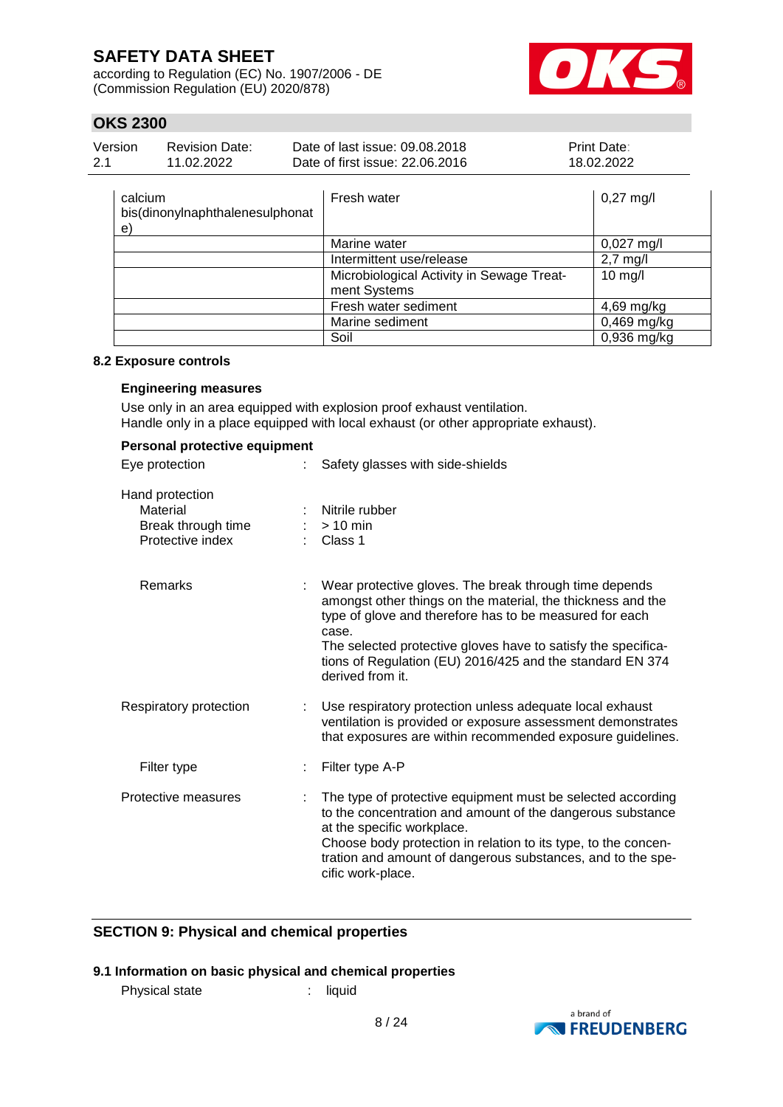according to Regulation (EC) No. 1907/2006 - DE (Commission Regulation (EU) 2020/878)



### **OKS 2300**

| Version | <b>Revision Date:</b> | Date of last issue: 09.08.2018  | <b>Print Date:</b> |
|---------|-----------------------|---------------------------------|--------------------|
| -2.1    | 11.02.2022            | Date of first issue: 22.06.2016 | 18.02.2022         |

| calcium<br>bis(dinonylnaphthalenesulphonat<br>e) | Fresh water                                               | $0,27 \text{ mg/l}$  |
|--------------------------------------------------|-----------------------------------------------------------|----------------------|
|                                                  | Marine water                                              | $0,027 \text{ mg/l}$ |
|                                                  | Intermittent use/release                                  | $2,7$ mg/l           |
|                                                  | Microbiological Activity in Sewage Treat-<br>ment Systems | $10$ mg/l            |
|                                                  | Fresh water sediment                                      | 4,69 mg/kg           |
|                                                  | Marine sediment                                           | $0,469$ mg/kg        |
|                                                  | Soil                                                      | $0,936$ mg/kg        |

#### **8.2 Exposure controls**

#### **Engineering measures**

Use only in an area equipped with explosion proof exhaust ventilation. Handle only in a place equipped with local exhaust (or other appropriate exhaust).

| Personal protective equipment                                         |                                                                                                                                                                                                                                                                                                                                             |  |  |  |  |  |
|-----------------------------------------------------------------------|---------------------------------------------------------------------------------------------------------------------------------------------------------------------------------------------------------------------------------------------------------------------------------------------------------------------------------------------|--|--|--|--|--|
| Eye protection                                                        | Safety glasses with side-shields                                                                                                                                                                                                                                                                                                            |  |  |  |  |  |
| Hand protection<br>Material<br>Break through time<br>Protective index | Nitrile rubber<br>$:$ > 10 min<br>: Class 1                                                                                                                                                                                                                                                                                                 |  |  |  |  |  |
| <b>Remarks</b>                                                        | Wear protective gloves. The break through time depends<br>amongst other things on the material, the thickness and the<br>type of glove and therefore has to be measured for each<br>case.<br>The selected protective gloves have to satisfy the specifica-<br>tions of Regulation (EU) 2016/425 and the standard EN 374<br>derived from it. |  |  |  |  |  |
| Respiratory protection<br>÷                                           | Use respiratory protection unless adequate local exhaust<br>ventilation is provided or exposure assessment demonstrates<br>that exposures are within recommended exposure guidelines.                                                                                                                                                       |  |  |  |  |  |
| Filter type<br>÷.                                                     | Filter type A-P                                                                                                                                                                                                                                                                                                                             |  |  |  |  |  |
| Protective measures<br>÷.                                             | The type of protective equipment must be selected according<br>to the concentration and amount of the dangerous substance<br>at the specific workplace.<br>Choose body protection in relation to its type, to the concen-<br>tration and amount of dangerous substances, and to the spe-<br>cific work-place.                               |  |  |  |  |  |

### **SECTION 9: Physical and chemical properties**

### **9.1 Information on basic physical and chemical properties**

Physical state : liquid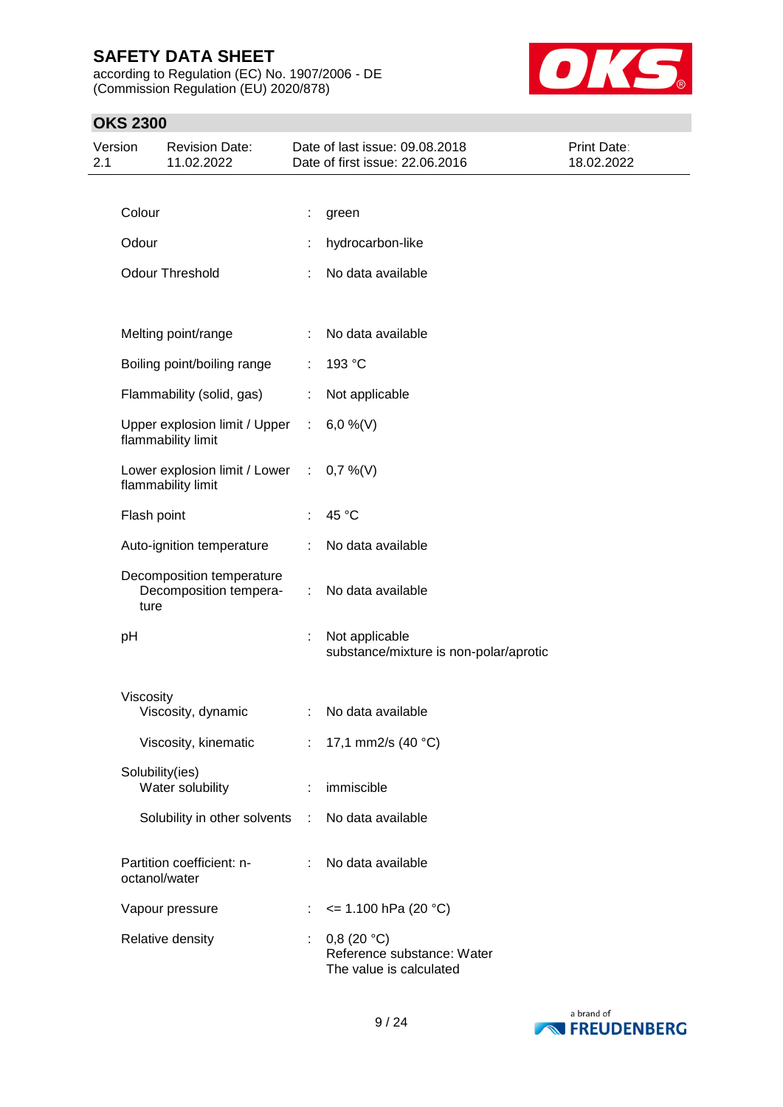according to Regulation (EC) No. 1907/2006 - DE (Commission Regulation (EU) 2020/878)



| Version<br>2.1 |             | <b>Revision Date:</b><br>11.02.2022                 |             | Date of last issue: 09.08.2018<br>Date of first issue: 22.06.2016   | Print Date:<br>18.02.2022 |
|----------------|-------------|-----------------------------------------------------|-------------|---------------------------------------------------------------------|---------------------------|
|                |             |                                                     |             |                                                                     |                           |
|                | Colour      |                                                     |             | green                                                               |                           |
|                | Odour       |                                                     |             | hydrocarbon-like                                                    |                           |
|                |             | <b>Odour Threshold</b>                              |             | No data available                                                   |                           |
|                |             |                                                     |             |                                                                     |                           |
|                |             | Melting point/range                                 |             | No data available                                                   |                           |
|                |             | Boiling point/boiling range                         | ÷           | 193 °C                                                              |                           |
|                |             | Flammability (solid, gas)                           |             | Not applicable                                                      |                           |
|                |             | Upper explosion limit / Upper<br>flammability limit | $\sim 10^7$ | 6,0 %(V)                                                            |                           |
|                |             | Lower explosion limit / Lower<br>flammability limit | $\sim 10$   | $0,7\%$ (V)                                                         |                           |
|                | Flash point |                                                     |             | 45 °C                                                               |                           |
|                |             | Auto-ignition temperature                           |             | No data available                                                   |                           |
|                | ture        | Decomposition temperature<br>Decomposition tempera- | ÷.          | No data available                                                   |                           |
|                | pH          |                                                     | ÷           | Not applicable<br>substance/mixture is non-polar/aprotic            |                           |
|                | Viscosity   |                                                     |             |                                                                     |                           |
|                |             | Viscosity, dynamic                                  |             | No data available                                                   |                           |
|                |             | Viscosity, kinematic                                |             | : 17,1 mm2/s (40 $^{\circ}$ C)                                      |                           |
|                |             | Solubility(ies)<br>Water solubility                 | ÷           | immiscible                                                          |                           |
|                |             | Solubility in other solvents                        | ÷.          | No data available                                                   |                           |
|                |             | Partition coefficient: n-<br>octanol/water          |             | No data available                                                   |                           |
|                |             | Vapour pressure                                     |             | $\leq$ 1.100 hPa (20 °C)                                            |                           |
|                |             | Relative density                                    |             | 0,8(20 °C)<br>Reference substance: Water<br>The value is calculated |                           |

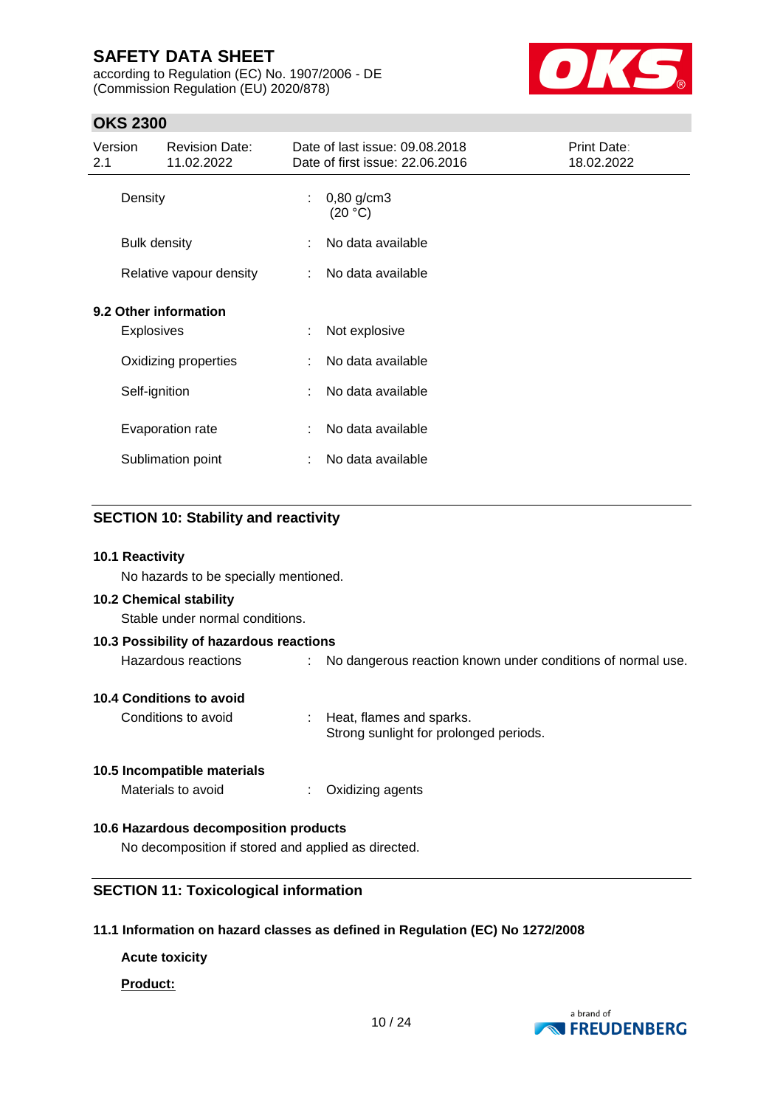according to Regulation (EC) No. 1907/2006 - DE (Commission Regulation (EU) 2020/878)



### **OKS 2300**

| Version<br>2.1          | <b>Revision Date:</b><br>11.02.2022        |    | Date of last issue: 09.08.2018<br>Date of first issue: 22.06.2016 | Print Date:<br>18.02.2022 |
|-------------------------|--------------------------------------------|----|-------------------------------------------------------------------|---------------------------|
|                         | Density                                    | t. | $0,80$ g/cm3<br>(20 °C)                                           |                           |
|                         | <b>Bulk density</b>                        | ÷  | No data available                                                 |                           |
| Relative vapour density |                                            | ÷  | No data available                                                 |                           |
|                         | 9.2 Other information<br><b>Explosives</b> | t  | Not explosive                                                     |                           |
|                         | Oxidizing properties                       | ÷  | No data available                                                 |                           |
|                         | Self-ignition                              | ÷  | No data available                                                 |                           |
|                         | Evaporation rate                           | ÷  | No data available                                                 |                           |
|                         | Sublimation point                          | ÷  | No data available                                                 |                           |

### **SECTION 10: Stability and reactivity**

#### **10.1 Reactivity**

No hazards to be specially mentioned.

#### **10.2 Chemical stability**

Stable under normal conditions.

| 10.3 Possibility of hazardous reactions |  |                                                               |  |  |  |  |
|-----------------------------------------|--|---------------------------------------------------------------|--|--|--|--|
| Hazardous reactions                     |  | : No dangerous reaction known under conditions of normal use. |  |  |  |  |
|                                         |  |                                                               |  |  |  |  |

#### **10.4 Conditions to avoid**

Conditions to avoid : Heat, flames and sparks. Strong sunlight for prolonged periods.

#### **10.5 Incompatible materials**

Materials to avoid : Oxidizing agents

### **10.6 Hazardous decomposition products**

No decomposition if stored and applied as directed.

#### **SECTION 11: Toxicological information**

#### **11.1 Information on hazard classes as defined in Regulation (EC) No 1272/2008**

**Acute toxicity**

#### **Product:**

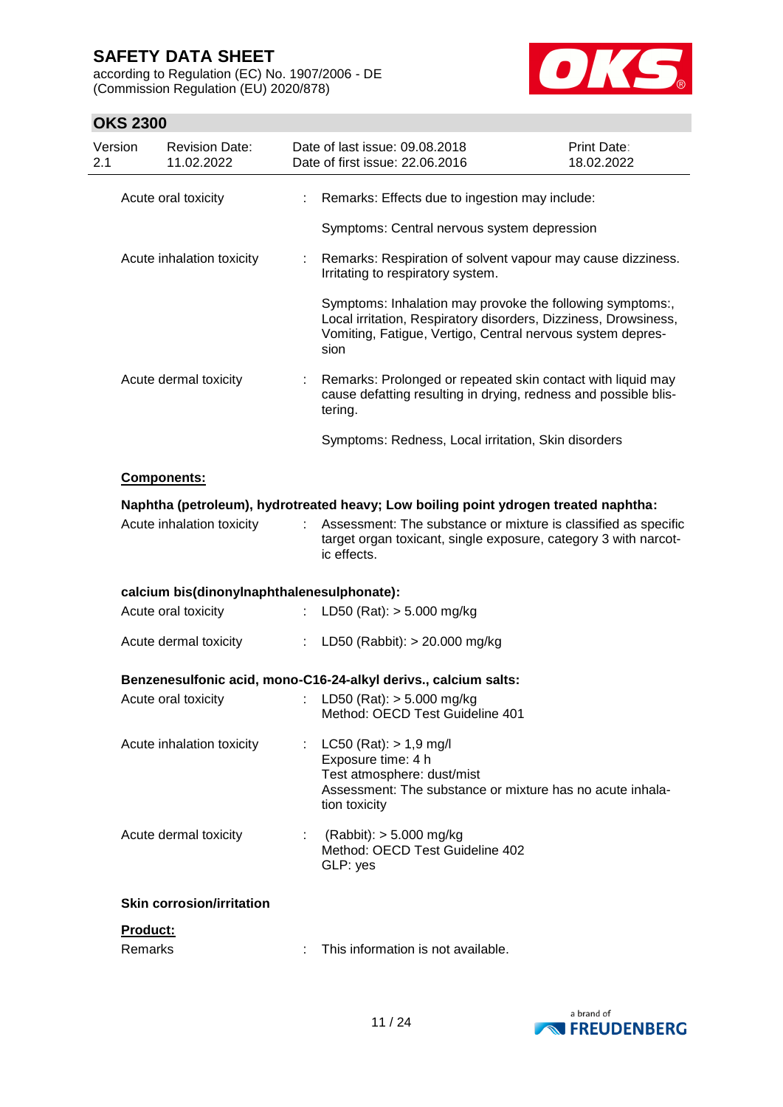according to Regulation (EC) No. 1907/2006 - DE (Commission Regulation (EU) 2020/878)



| Version<br>2.1 | <b>Revision Date:</b><br>11.02.2022                                                 |    | Date of last issue: 09.08.2018<br>Date of first issue: 22.06.2016                                                                                                                                  | <b>Print Date:</b><br>18.02.2022 |
|----------------|-------------------------------------------------------------------------------------|----|----------------------------------------------------------------------------------------------------------------------------------------------------------------------------------------------------|----------------------------------|
|                | Acute oral toxicity                                                                 |    | Remarks: Effects due to ingestion may include:                                                                                                                                                     |                                  |
|                |                                                                                     |    | Symptoms: Central nervous system depression                                                                                                                                                        |                                  |
|                | Acute inhalation toxicity                                                           |    | Remarks: Respiration of solvent vapour may cause dizziness.<br>Irritating to respiratory system.                                                                                                   |                                  |
|                |                                                                                     |    | Symptoms: Inhalation may provoke the following symptoms:,<br>Local irritation, Respiratory disorders, Dizziness, Drowsiness,<br>Vomiting, Fatigue, Vertigo, Central nervous system depres-<br>sion |                                  |
|                | Acute dermal toxicity                                                               | t. | Remarks: Prolonged or repeated skin contact with liquid may<br>cause defatting resulting in drying, redness and possible blis-<br>tering.                                                          |                                  |
|                |                                                                                     |    | Symptoms: Redness, Local irritation, Skin disorders                                                                                                                                                |                                  |
|                | Components:                                                                         |    |                                                                                                                                                                                                    |                                  |
|                | Naphtha (petroleum), hydrotreated heavy; Low boiling point ydrogen treated naphtha: |    |                                                                                                                                                                                                    |                                  |
|                | Acute inhalation toxicity                                                           |    | Assessment: The substance or mixture is classified as specific<br>target organ toxicant, single exposure, category 3 with narcot-<br>ic effects.                                                   |                                  |
|                | calcium bis(dinonylnaphthalenesulphonate):                                          |    |                                                                                                                                                                                                    |                                  |
|                | Acute oral toxicity                                                                 | ÷. | LD50 (Rat): $> 5.000$ mg/kg                                                                                                                                                                        |                                  |
|                | Acute dermal toxicity                                                               | ÷. | LD50 (Rabbit): > 20.000 mg/kg                                                                                                                                                                      |                                  |
|                |                                                                                     |    | Benzenesulfonic acid, mono-C16-24-alkyl derivs., calcium salts:                                                                                                                                    |                                  |
|                | Acute oral toxicity                                                                 |    | LD50 (Rat): $> 5.000$ mg/kg<br>Method: OECD Test Guideline 401                                                                                                                                     |                                  |
|                | Acute inhalation toxicity                                                           |    | : $LC50$ (Rat): $> 1.9$ mg/l<br>Exposure time: 4 h<br>Test atmosphere: dust/mist<br>Assessment: The substance or mixture has no acute inhala-<br>tion toxicity                                     |                                  |
|                | Acute dermal toxicity                                                               |    | $(Rabbit):$ > 5.000 mg/kg<br>Method: OECD Test Guideline 402<br>GLP: yes                                                                                                                           |                                  |
|                | <b>Skin corrosion/irritation</b>                                                    |    |                                                                                                                                                                                                    |                                  |
|                | Product:                                                                            |    |                                                                                                                                                                                                    |                                  |
|                | Remarks                                                                             |    | This information is not available.                                                                                                                                                                 |                                  |

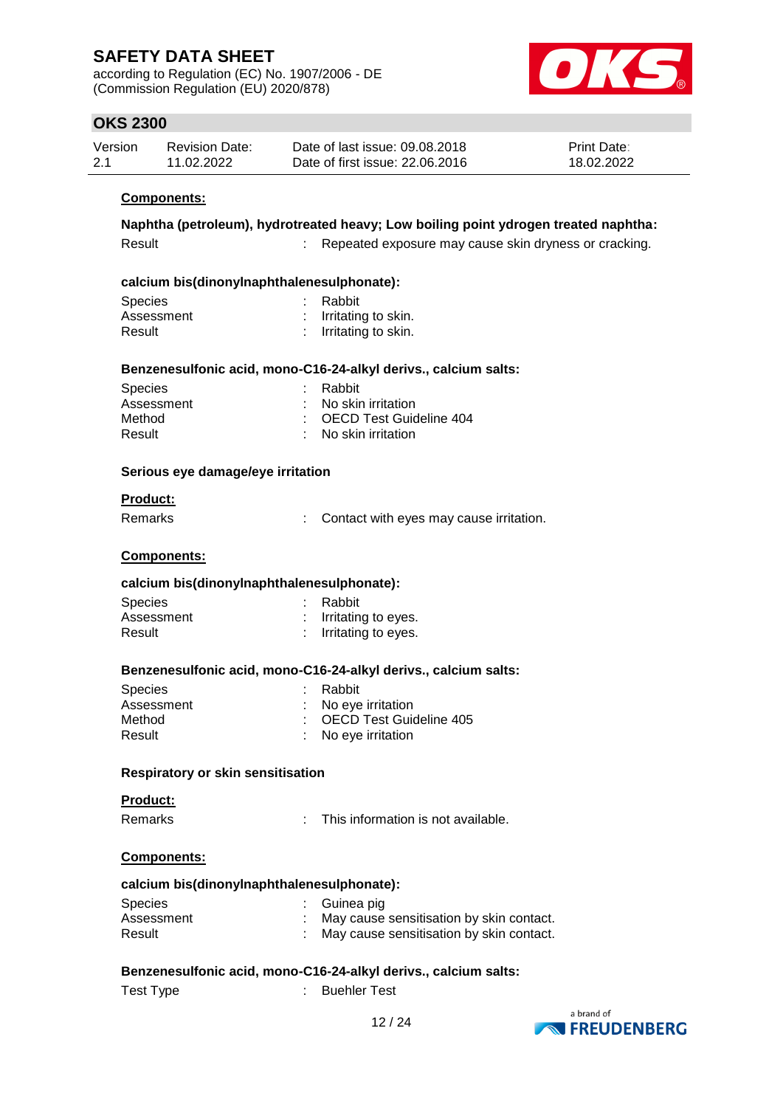according to Regulation (EC) No. 1907/2006 - DE (Commission Regulation (EU) 2020/878)



### **OKS 2300**

| Version | Revision Date: | Date of last issue: 09.08.2018  | <b>Print Date:</b> |
|---------|----------------|---------------------------------|--------------------|
| 2.1     | 11.02.2022     | Date of first issue: 22,06,2016 | 18.02.2022         |

#### **Components:**

#### **Naphtha (petroleum), hydrotreated heavy; Low boiling point ydrogen treated naphtha:**

| Result | Repeated exposure may cause skin dryness or cracking. |  |  |
|--------|-------------------------------------------------------|--|--|
|        |                                                       |  |  |

#### **calcium bis(dinonylnaphthalenesulphonate):**

| <b>Species</b> | : Rabbit              |
|----------------|-----------------------|
| Assessment     | : Irritating to skin. |
| Result         | : Irritating to skin. |

#### **Benzenesulfonic acid, mono-C16-24-alkyl derivs., calcium salts:**

| <b>Species</b> | : Rabbit                  |
|----------------|---------------------------|
| Assessment     | : No skin irritation      |
| Method         | : OECD Test Guideline 404 |
| Result         | : No skin irritation      |

#### **Serious eye damage/eye irritation**

#### **Product:**

Remarks : Contact with eyes may cause irritation.

#### **Components:**

#### **calcium bis(dinonylnaphthalenesulphonate):**

| <b>Species</b> | : Rabbit                |
|----------------|-------------------------|
| Assessment     | $:$ Irritating to eyes. |
| Result         | : Irritating to eyes.   |

#### **Benzenesulfonic acid, mono-C16-24-alkyl derivs., calcium salts:**

| : OECD Test Guideline 405 |
|---------------------------|
|                           |
|                           |

#### **Respiratory or skin sensitisation**

**Product:**

Remarks : This information is not available.

#### **Components:**

#### **calcium bis(dinonylnaphthalenesulphonate):**

| <b>Species</b> | : Guinea pig                               |
|----------------|--------------------------------------------|
| Assessment     | : May cause sensitisation by skin contact. |
| Result         | : May cause sensitisation by skin contact. |

#### **Benzenesulfonic acid, mono-C16-24-alkyl derivs., calcium salts:**

Test Type  $\qquad \qquad : \qquad$  Buehler Test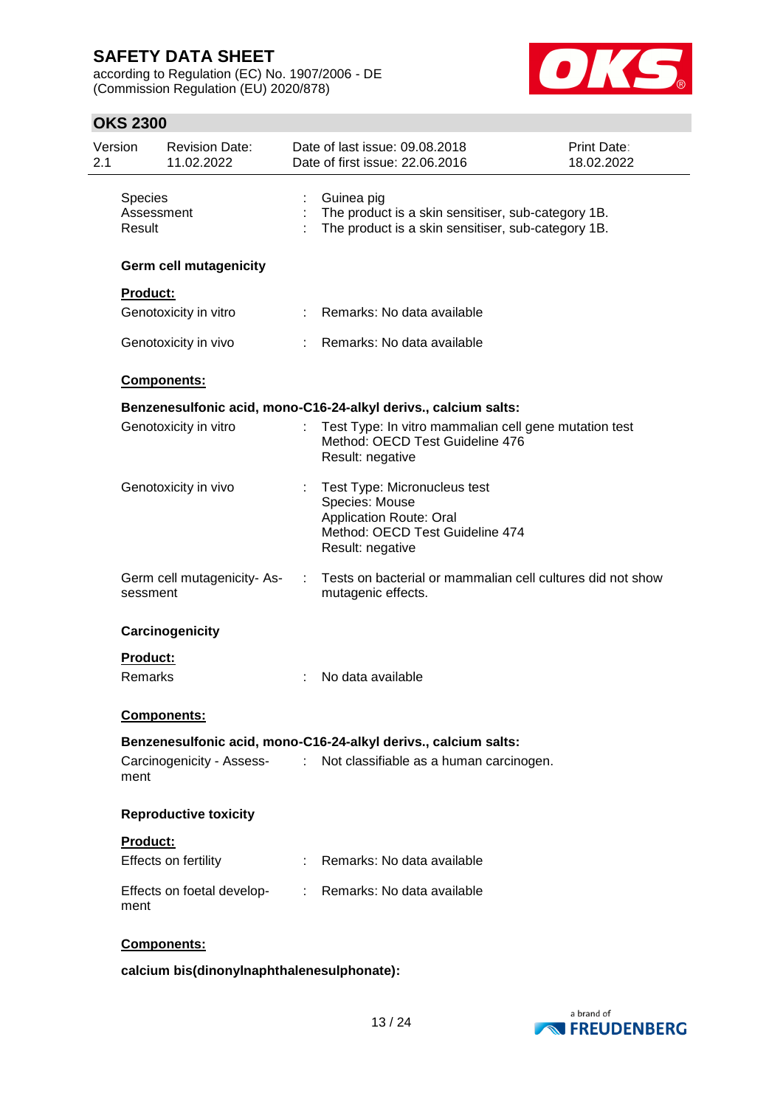according to Regulation (EC) No. 1907/2006 - DE (Commission Regulation (EU) 2020/878)



### **OKS 2300**

| Version<br>2.1           | <b>Revision Date:</b><br>11.02.2022 |    | Date of last issue: 09.08.2018<br>Date of first issue: 22.06.2016                                                                       | Print Date:<br>18.02.2022 |
|--------------------------|-------------------------------------|----|-----------------------------------------------------------------------------------------------------------------------------------------|---------------------------|
| <b>Species</b><br>Result | Assessment                          |    | Guinea pig<br>The product is a skin sensitiser, sub-category 1B.<br>The product is a skin sensitiser, sub-category 1B.                  |                           |
|                          | <b>Germ cell mutagenicity</b>       |    |                                                                                                                                         |                           |
| <b>Product:</b>          |                                     |    |                                                                                                                                         |                           |
|                          | Genotoxicity in vitro               |    | : Remarks: No data available                                                                                                            |                           |
|                          | Genotoxicity in vivo                |    | : Remarks: No data available                                                                                                            |                           |
|                          | <b>Components:</b>                  |    |                                                                                                                                         |                           |
|                          |                                     |    | Benzenesulfonic acid, mono-C16-24-alkyl derivs., calcium salts:                                                                         |                           |
|                          | Genotoxicity in vitro               |    | Test Type: In vitro mammalian cell gene mutation test<br>Method: OECD Test Guideline 476<br>Result: negative                            |                           |
|                          | Genotoxicity in vivo                |    | Test Type: Micronucleus test<br>Species: Mouse<br><b>Application Route: Oral</b><br>Method: OECD Test Guideline 474<br>Result: negative |                           |
| sessment                 | Germ cell mutagenicity-As-          | ÷. | Tests on bacterial or mammalian cell cultures did not show<br>mutagenic effects.                                                        |                           |
|                          | Carcinogenicity                     |    |                                                                                                                                         |                           |
| <b>Product:</b>          |                                     |    |                                                                                                                                         |                           |
| Remarks                  |                                     |    | No data available                                                                                                                       |                           |
|                          | <b>Components:</b>                  |    |                                                                                                                                         |                           |
|                          |                                     |    | Benzenesulfonic acid, mono-C16-24-alkyl derivs., calcium salts:                                                                         |                           |
| ment                     | Carcinogenicity - Assess-           | ÷. | Not classifiable as a human carcinogen.                                                                                                 |                           |
|                          | <b>Reproductive toxicity</b>        |    |                                                                                                                                         |                           |
| <b>Product:</b>          |                                     |    |                                                                                                                                         |                           |
|                          | Effects on fertility                |    | Remarks: No data available                                                                                                              |                           |
| ment                     | Effects on foetal develop-          | t. | Remarks: No data available                                                                                                              |                           |
|                          | Components:                         |    |                                                                                                                                         |                           |

**calcium bis(dinonylnaphthalenesulphonate):**

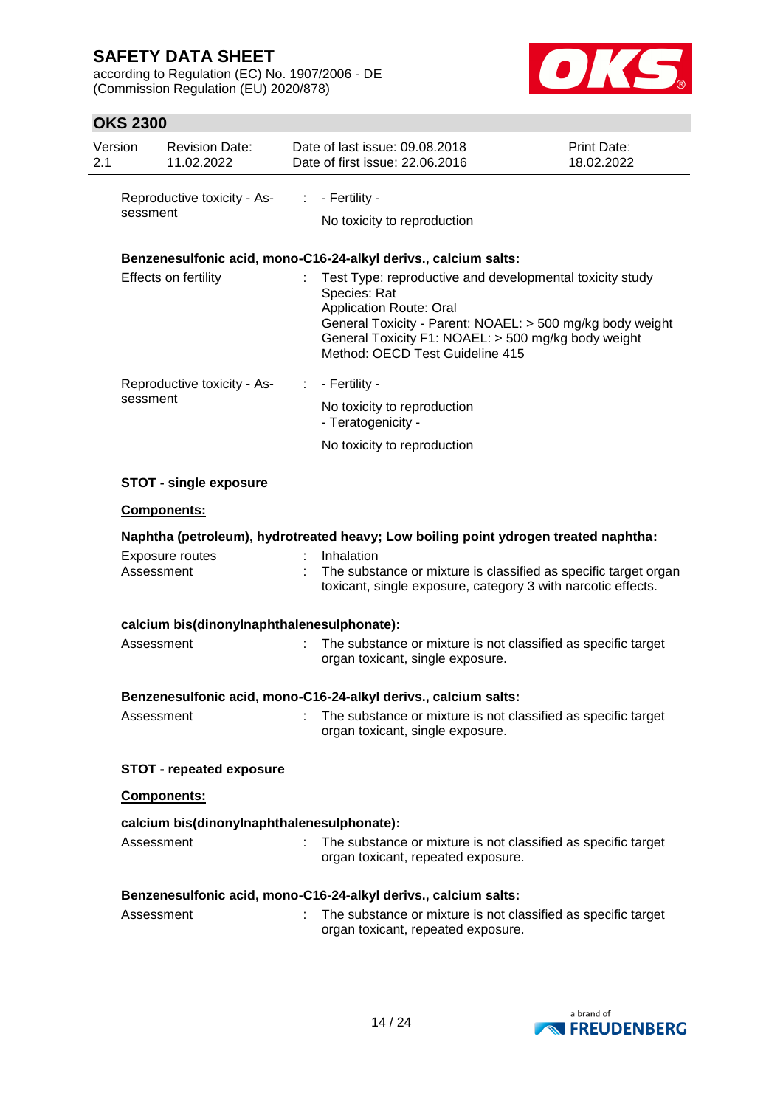according to Regulation (EC) No. 1907/2006 - DE (Commission Regulation (EU) 2020/878)



| Version<br>2.1 | <b>Revision Date:</b><br>11.02.2022        |                     | Date of last issue: 09.08.2018<br>Date of first issue: 22.06.2016                                                                                                                                    | Print Date:<br>18.02.2022                                       |
|----------------|--------------------------------------------|---------------------|------------------------------------------------------------------------------------------------------------------------------------------------------------------------------------------------------|-----------------------------------------------------------------|
|                | Reproductive toxicity - As-<br>sessment    |                     | - Fertility -                                                                                                                                                                                        |                                                                 |
|                |                                            |                     | No toxicity to reproduction                                                                                                                                                                          |                                                                 |
|                |                                            |                     | Benzenesulfonic acid, mono-C16-24-alkyl derivs., calcium salts:                                                                                                                                      |                                                                 |
|                | Effects on fertility                       |                     | Test Type: reproductive and developmental toxicity study<br>Species: Rat<br><b>Application Route: Oral</b><br>General Toxicity F1: NOAEL: > 500 mg/kg body weight<br>Method: OECD Test Guideline 415 | General Toxicity - Parent: NOAEL: > 500 mg/kg body weight       |
|                | Reproductive toxicity - As-<br>sessment    | - Fertility -<br>÷. |                                                                                                                                                                                                      |                                                                 |
|                |                                            |                     | No toxicity to reproduction<br>- Teratogenicity -                                                                                                                                                    |                                                                 |
|                |                                            |                     | No toxicity to reproduction                                                                                                                                                                          |                                                                 |
|                | <b>STOT - single exposure</b>              |                     |                                                                                                                                                                                                      |                                                                 |
|                | Components:                                |                     |                                                                                                                                                                                                      |                                                                 |
|                |                                            |                     | Naphtha (petroleum), hydrotreated heavy; Low boiling point ydrogen treated naphtha:                                                                                                                  |                                                                 |
|                | Exposure routes<br>Assessment              | Inhalation          | toxicant, single exposure, category 3 with narcotic effects.                                                                                                                                         | The substance or mixture is classified as specific target organ |
|                | calcium bis(dinonylnaphthalenesulphonate): |                     |                                                                                                                                                                                                      |                                                                 |
|                | Assessment                                 |                     | The substance or mixture is not classified as specific target<br>organ toxicant, single exposure.                                                                                                    |                                                                 |
|                |                                            |                     | Benzenesulfonic acid, mono-C16-24-alkyl derivs., calcium salts:                                                                                                                                      |                                                                 |
|                | Assessment                                 |                     | The substance or mixture is not classified as specific target<br>organ toxicant, single exposure.                                                                                                    |                                                                 |
|                | <b>STOT - repeated exposure</b>            |                     |                                                                                                                                                                                                      |                                                                 |
|                | Components:                                |                     |                                                                                                                                                                                                      |                                                                 |
|                | calcium bis(dinonylnaphthalenesulphonate): |                     |                                                                                                                                                                                                      |                                                                 |
|                | Assessment                                 |                     | The substance or mixture is not classified as specific target<br>organ toxicant, repeated exposure.                                                                                                  |                                                                 |
|                |                                            |                     | Benzenesulfonic acid, mono-C16-24-alkyl derivs., calcium salts:                                                                                                                                      |                                                                 |
|                | Assessment                                 |                     | The substance or mixture is not classified as specific target<br>organ toxicant, repeated exposure.                                                                                                  |                                                                 |

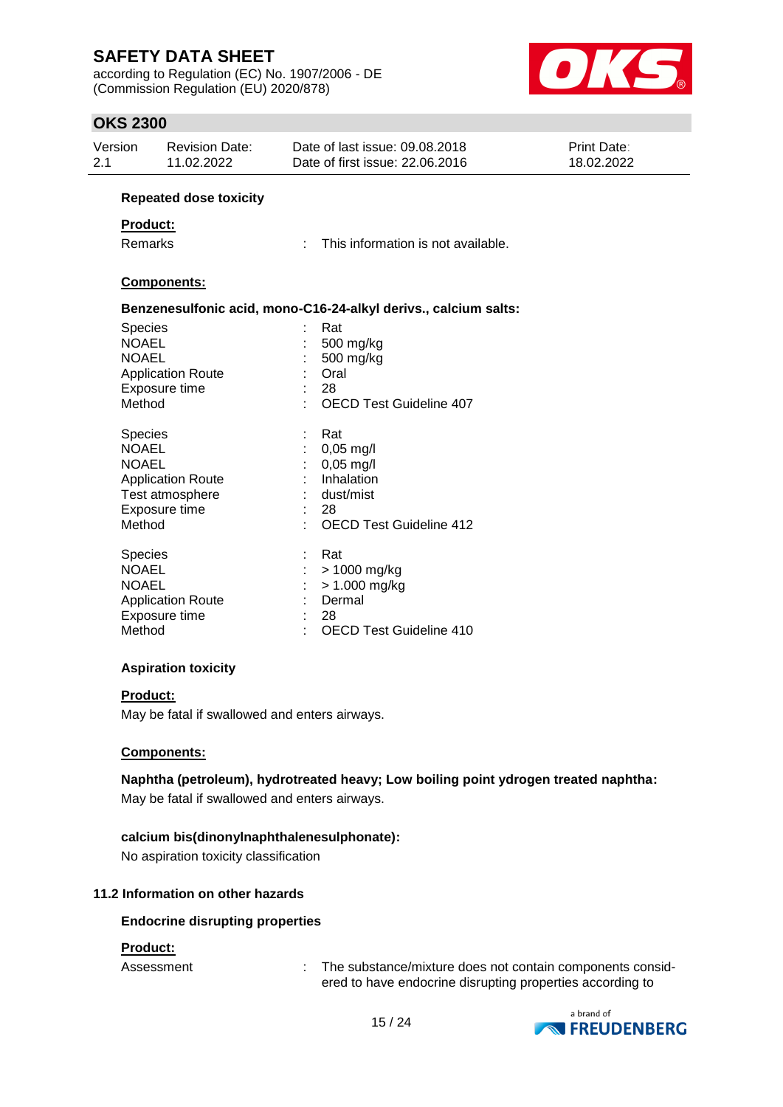according to Regulation (EC) No. 1907/2006 - DE (Commission Regulation (EU) 2020/878)



### **OKS 2300**

| טייש בטטט                                                                                              |                                                                                                           |                                                                                                                                                                                       |                           |
|--------------------------------------------------------------------------------------------------------|-----------------------------------------------------------------------------------------------------------|---------------------------------------------------------------------------------------------------------------------------------------------------------------------------------------|---------------------------|
| Version<br>2.1                                                                                         | <b>Revision Date:</b><br>11.02.2022                                                                       | Date of last issue: 09.08.2018<br>Date of first issue: 22.06.2016                                                                                                                     | Print Date:<br>18.02.2022 |
|                                                                                                        | <b>Repeated dose toxicity</b>                                                                             |                                                                                                                                                                                       |                           |
| <b>Product:</b>                                                                                        |                                                                                                           |                                                                                                                                                                                       |                           |
| Remarks                                                                                                |                                                                                                           | This information is not available.<br>÷.                                                                                                                                              |                           |
|                                                                                                        | Components:                                                                                               |                                                                                                                                                                                       |                           |
|                                                                                                        |                                                                                                           | Benzenesulfonic acid, mono-C16-24-alkyl derivs., calcium salts:                                                                                                                       |                           |
| Species<br><b>NOAEL</b><br><b>NOAEL</b><br>Method<br>Species<br><b>NOAEL</b><br><b>NOAEL</b><br>Method | <b>Application Route</b><br>Exposure time<br><b>Application Route</b><br>Test atmosphere<br>Exposure time | Rat<br>500 mg/kg<br>500 mg/kg<br>Oral<br>28<br><b>OECD Test Guideline 407</b><br>Rat<br>$0,05$ mg/l<br>$0,05$ mg/l<br>Inhalation<br>dust/mist<br>28<br><b>OECD Test Guideline 412</b> |                           |
| Species<br><b>NOAEL</b><br><b>NOAEL</b><br>Method                                                      | <b>Application Route</b><br>Exposure time                                                                 | Rat<br>> 1000 mg/kg<br>$> 1.000$ mg/kg<br>Dermal<br>28<br><b>OECD Test Guideline 410</b>                                                                                              |                           |

### **Aspiration toxicity**

#### **Product:**

May be fatal if swallowed and enters airways.

#### **Components:**

**Naphtha (petroleum), hydrotreated heavy; Low boiling point ydrogen treated naphtha:**

May be fatal if swallowed and enters airways.

#### **calcium bis(dinonylnaphthalenesulphonate):**

No aspiration toxicity classification

### **11.2 Information on other hazards**

#### **Endocrine disrupting properties**

#### **Product:**

Assessment : The substance/mixture does not contain components considered to have endocrine disrupting properties according to

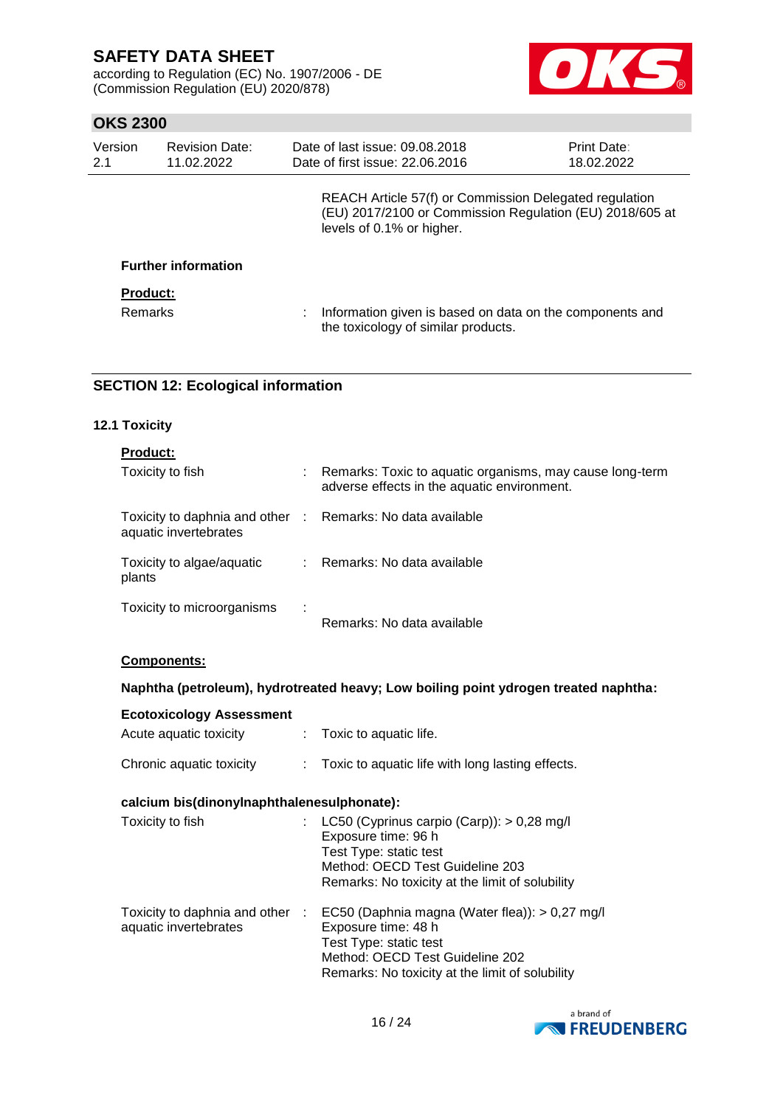according to Regulation (EC) No. 1907/2006 - DE (Commission Regulation (EU) 2020/878)



### **OKS 2300**

| Version<br>2.1                    | <b>Revision Date:</b><br>11.02.2022 | Date of last issue: 09.08.2018<br>Date of first issue: 22.06.2016                                                                               | <b>Print Date:</b><br>18.02.2022 |
|-----------------------------------|-------------------------------------|-------------------------------------------------------------------------------------------------------------------------------------------------|----------------------------------|
|                                   |                                     | REACH Article 57(f) or Commission Delegated regulation<br>(EU) 2017/2100 or Commission Regulation (EU) 2018/605 at<br>levels of 0.1% or higher. |                                  |
|                                   | <b>Further information</b>          |                                                                                                                                                 |                                  |
| <b>Product:</b><br><b>Remarks</b> |                                     | Information given is based on data on the components and<br>the toxicology of similar products.                                                 |                                  |

### **SECTION 12: Ecological information**

#### **12.1 Toxicity**

| <b>Product:</b>                                                                     |   |                                                                                                           |
|-------------------------------------------------------------------------------------|---|-----------------------------------------------------------------------------------------------------------|
| Toxicity to fish                                                                    |   | : Remarks: Toxic to aquatic organisms, may cause long-term<br>adverse effects in the aquatic environment. |
| Toxicity to daphnia and other : Remarks: No data available<br>aquatic invertebrates |   |                                                                                                           |
| Toxicity to algae/aquatic<br>plants                                                 |   | : Remarks: No data available                                                                              |
| Toxicity to microorganisms                                                          | ÷ | Remarks: No data available                                                                                |

### **Components:**

### **Naphtha (petroleum), hydrotreated heavy; Low boiling point ydrogen treated naphtha:**

| <b>Ecotoxicology Assessment</b><br>Acute aquatic toxicity | $\mathcal{L}$ | Toxic to aquatic life.                                                                                                                                                                |
|-----------------------------------------------------------|---------------|---------------------------------------------------------------------------------------------------------------------------------------------------------------------------------------|
| Chronic aquatic toxicity                                  | ÷.            | Toxic to aquatic life with long lasting effects.                                                                                                                                      |
| calcium bis(dinonylnaphthalenesulphonate):                |               |                                                                                                                                                                                       |
| Toxicity to fish                                          |               | : LC50 (Cyprinus carpio (Carp)): $> 0.28$ mg/l<br>Exposure time: 96 h<br>Test Type: static test<br>Method: OECD Test Guideline 203<br>Remarks: No toxicity at the limit of solubility |
| Toxicity to daphnia and other :<br>aquatic invertebrates  |               | EC50 (Daphnia magna (Water flea)): > 0,27 mg/l<br>Exposure time: 48 h<br>Test Type: static test<br>Method: OECD Test Guideline 202<br>Remarks: No toxicity at the limit of solubility |

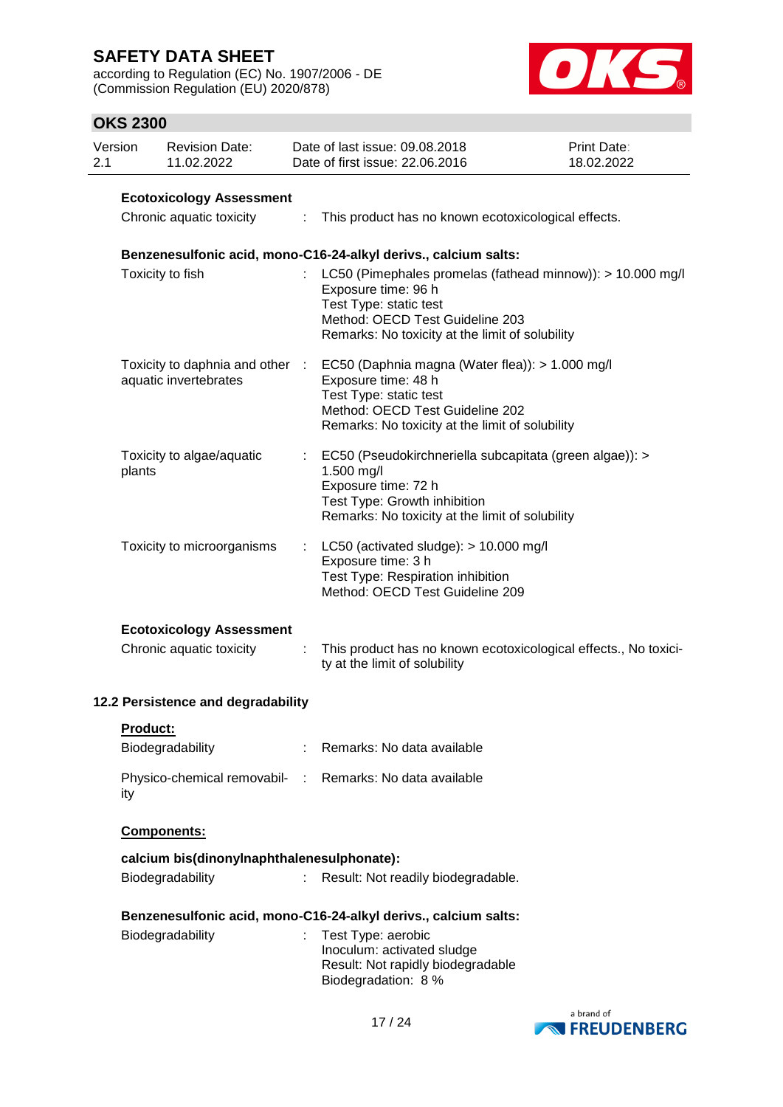according to Regulation (EC) No. 1907/2006 - DE (Commission Regulation (EU) 2020/878)



| Version<br>2.1 |                                 | <b>Revision Date:</b><br>11.02.2022                         |   | Date of last issue: 09.08.2018<br>Date of first issue: 22.06.2016                                                                                                                                 | <b>Print Date:</b><br>18.02.2022 |  |  |  |  |  |
|----------------|---------------------------------|-------------------------------------------------------------|---|---------------------------------------------------------------------------------------------------------------------------------------------------------------------------------------------------|----------------------------------|--|--|--|--|--|
|                | <b>Ecotoxicology Assessment</b> |                                                             |   |                                                                                                                                                                                                   |                                  |  |  |  |  |  |
|                |                                 | Chronic aquatic toxicity                                    | ÷ | This product has no known ecotoxicological effects.                                                                                                                                               |                                  |  |  |  |  |  |
|                |                                 |                                                             |   | Benzenesulfonic acid, mono-C16-24-alkyl derivs., calcium salts:                                                                                                                                   |                                  |  |  |  |  |  |
|                |                                 | Toxicity to fish                                            |   | LC50 (Pimephales promelas (fathead minnow)): > 10.000 mg/l<br>Exposure time: 96 h<br>Test Type: static test<br>Method: OECD Test Guideline 203<br>Remarks: No toxicity at the limit of solubility |                                  |  |  |  |  |  |
|                |                                 | Toxicity to daphnia and other :<br>aquatic invertebrates    |   | EC50 (Daphnia magna (Water flea)): > 1.000 mg/l<br>Exposure time: 48 h<br>Test Type: static test<br>Method: OECD Test Guideline 202<br>Remarks: No toxicity at the limit of solubility            |                                  |  |  |  |  |  |
|                | plants                          | Toxicity to algae/aquatic                                   |   | EC50 (Pseudokirchneriella subcapitata (green algae)): ><br>1.500 mg/l<br>Exposure time: 72 h<br>Test Type: Growth inhibition<br>Remarks: No toxicity at the limit of solubility                   |                                  |  |  |  |  |  |
|                |                                 | Toxicity to microorganisms                                  |   | LC50 (activated sludge): > 10.000 mg/l<br>Exposure time: 3 h<br>Test Type: Respiration inhibition<br>Method: OECD Test Guideline 209                                                              |                                  |  |  |  |  |  |
|                |                                 | <b>Ecotoxicology Assessment</b><br>Chronic aquatic toxicity |   | This product has no known ecotoxicological effects., No toxici-<br>ty at the limit of solubility                                                                                                  |                                  |  |  |  |  |  |
|                |                                 | 12.2 Persistence and degradability                          |   |                                                                                                                                                                                                   |                                  |  |  |  |  |  |
|                | Product:                        | Biodegradability                                            |   | : Remarks: No data available                                                                                                                                                                      |                                  |  |  |  |  |  |
|                | ity                             |                                                             |   | Physico-chemical removabil- : Remarks: No data available                                                                                                                                          |                                  |  |  |  |  |  |
|                |                                 | Components:                                                 |   |                                                                                                                                                                                                   |                                  |  |  |  |  |  |
|                |                                 | calcium bis(dinonylnaphthalenesulphonate):                  |   |                                                                                                                                                                                                   |                                  |  |  |  |  |  |
|                |                                 | Biodegradability                                            | ÷ | Result: Not readily biodegradable.                                                                                                                                                                |                                  |  |  |  |  |  |
|                |                                 |                                                             |   | Benzenesulfonic acid, mono-C16-24-alkyl derivs., calcium salts:                                                                                                                                   |                                  |  |  |  |  |  |
|                |                                 | Biodegradability                                            |   | Test Type: aerobic<br>Inoculum: activated sludge<br>Result: Not rapidly biodegradable<br>Biodegradation: 8 %                                                                                      |                                  |  |  |  |  |  |

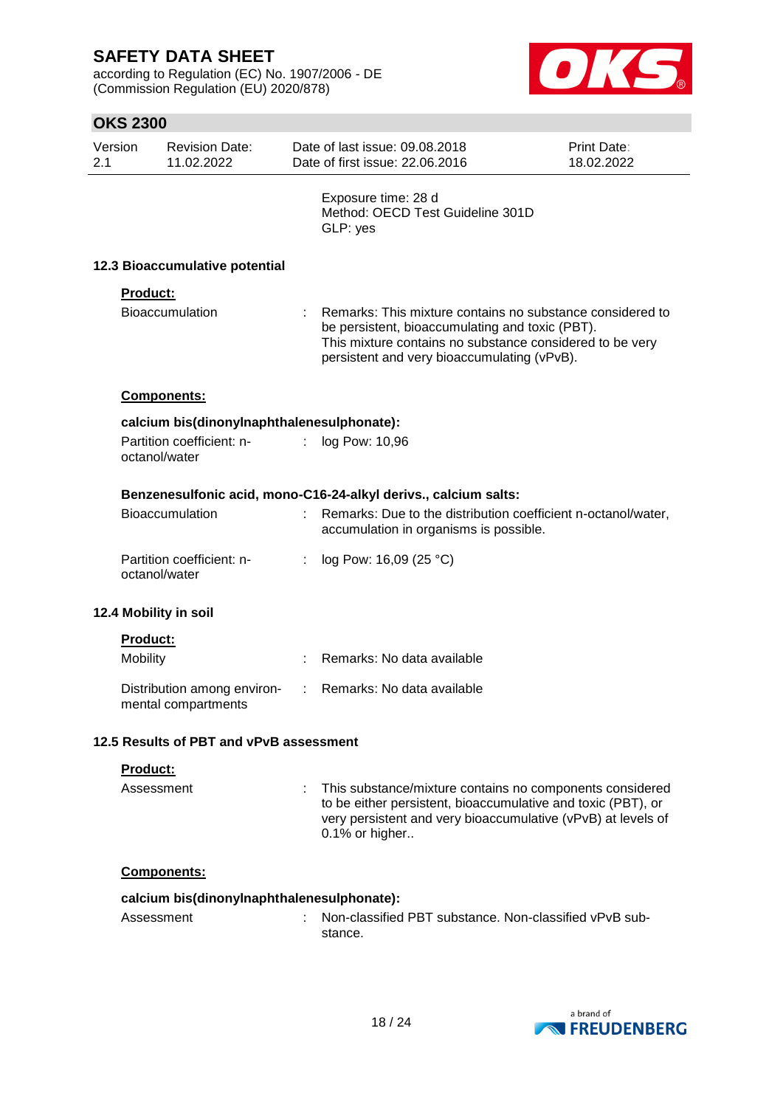according to Regulation (EC) No. 1907/2006 - DE (Commission Regulation (EU) 2020/878)



| Version<br>2.1 |                                | <b>Revision Date:</b><br>11.02.2022                |   | Date of last issue: 09.08.2018<br>Date of first issue: 22.06.2016                                                                                                                                                       | Print Date:<br>18.02.2022 |  |  |  |  |  |
|----------------|--------------------------------|----------------------------------------------------|---|-------------------------------------------------------------------------------------------------------------------------------------------------------------------------------------------------------------------------|---------------------------|--|--|--|--|--|
|                |                                |                                                    |   | Exposure time: 28 d<br>Method: OECD Test Guideline 301D<br>GLP: yes                                                                                                                                                     |                           |  |  |  |  |  |
|                | 12.3 Bioaccumulative potential |                                                    |   |                                                                                                                                                                                                                         |                           |  |  |  |  |  |
|                | <b>Product:</b>                |                                                    |   |                                                                                                                                                                                                                         |                           |  |  |  |  |  |
|                |                                | Bioaccumulation                                    |   | Remarks: This mixture contains no substance considered to<br>be persistent, bioaccumulating and toxic (PBT).<br>This mixture contains no substance considered to be very<br>persistent and very bioaccumulating (vPvB). |                           |  |  |  |  |  |
|                |                                | Components:                                        |   |                                                                                                                                                                                                                         |                           |  |  |  |  |  |
|                |                                | calcium bis(dinonylnaphthalenesulphonate):         |   |                                                                                                                                                                                                                         |                           |  |  |  |  |  |
|                |                                | Partition coefficient: n-<br>octanol/water         | ÷ | log Pow: 10,96                                                                                                                                                                                                          |                           |  |  |  |  |  |
|                |                                |                                                    |   | Benzenesulfonic acid, mono-C16-24-alkyl derivs., calcium salts:                                                                                                                                                         |                           |  |  |  |  |  |
|                |                                | Bioaccumulation                                    |   | Remarks: Due to the distribution coefficient n-octanol/water,<br>accumulation in organisms is possible.                                                                                                                 |                           |  |  |  |  |  |
|                |                                | Partition coefficient: n-<br>octanol/water         | ÷ | log Pow: 16,09 (25 °C)                                                                                                                                                                                                  |                           |  |  |  |  |  |
|                |                                | 12.4 Mobility in soil                              |   |                                                                                                                                                                                                                         |                           |  |  |  |  |  |
|                | Product:                       |                                                    |   |                                                                                                                                                                                                                         |                           |  |  |  |  |  |
|                | Mobility                       |                                                    |   | Remarks: No data available                                                                                                                                                                                              |                           |  |  |  |  |  |
|                |                                | Distribution among environ-<br>mental compartments |   | Remarks: No data available                                                                                                                                                                                              |                           |  |  |  |  |  |
|                |                                | 12.5 Results of PBT and vPvB assessment            |   |                                                                                                                                                                                                                         |                           |  |  |  |  |  |
|                | Product:                       |                                                    |   |                                                                                                                                                                                                                         |                           |  |  |  |  |  |
|                | Assessment                     |                                                    |   | This substance/mixture contains no components considered<br>to be either persistent, bioaccumulative and toxic (PBT), or<br>very persistent and very bioaccumulative (vPvB) at levels of<br>0.1% or higher              |                           |  |  |  |  |  |
|                |                                | Components:                                        |   |                                                                                                                                                                                                                         |                           |  |  |  |  |  |
|                |                                | calcium bis(dinonylnaphthalenesulphonate):         |   |                                                                                                                                                                                                                         |                           |  |  |  |  |  |
|                | Assessment                     |                                                    |   | Non-classified PBT substance. Non-classified vPvB sub-<br>stance.                                                                                                                                                       |                           |  |  |  |  |  |
|                |                                |                                                    |   |                                                                                                                                                                                                                         |                           |  |  |  |  |  |

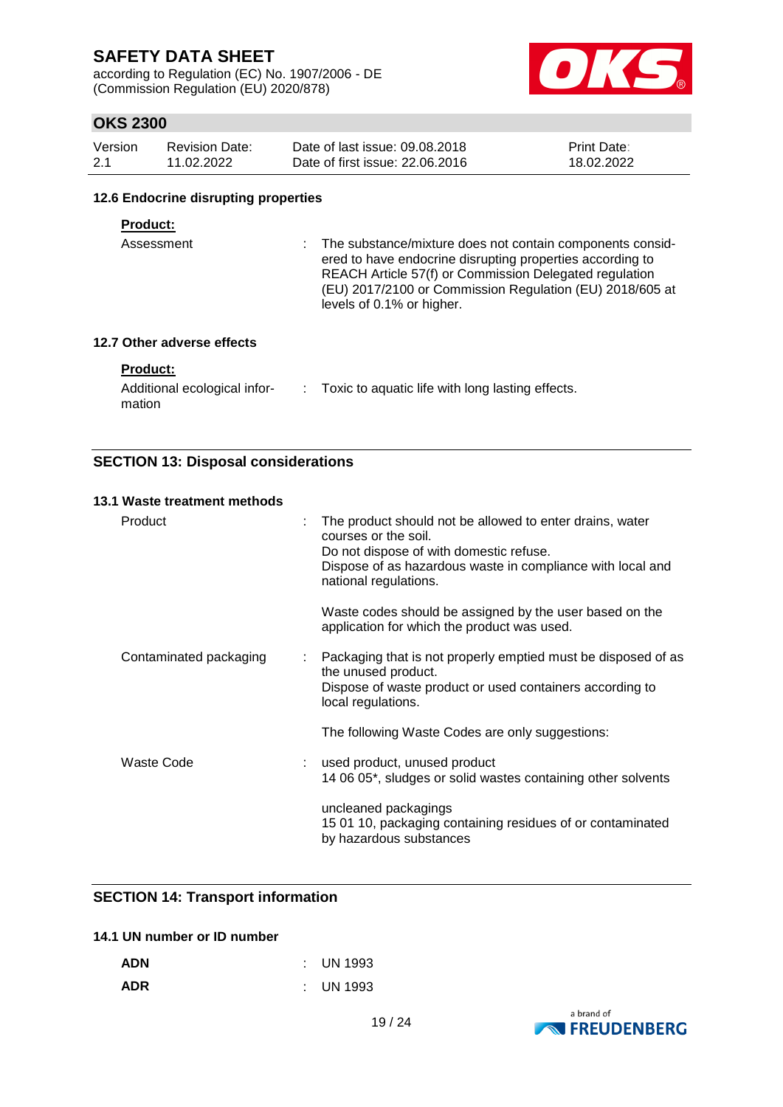according to Regulation (EC) No. 1907/2006 - DE (Commission Regulation (EU) 2020/878)



### **OKS 2300**

| Version | <b>Revision Date:</b> | Date of last issue: 09.08.2018  | <b>Print Date:</b> |
|---------|-----------------------|---------------------------------|--------------------|
| -2.1    | 11.02.2022            | Date of first issue: 22,06,2016 | 18.02.2022         |

#### **12.6 Endocrine disrupting properties**

#### **Product:**

Assessment : The substance/mixture does not contain components considered to have endocrine disrupting properties according to REACH Article 57(f) or Commission Delegated regulation (EU) 2017/2100 or Commission Regulation (EU) 2018/605 at levels of 0.1% or higher.

#### **12.7 Other adverse effects**

#### **Product:**

| Additional ecological infor- | Toxic to aquatic life with long lasting effects. |
|------------------------------|--------------------------------------------------|
| mation                       |                                                  |

### **SECTION 13: Disposal considerations**

| 13.1 Waste treatment methods |   |                                                                                                                                                                                                                    |
|------------------------------|---|--------------------------------------------------------------------------------------------------------------------------------------------------------------------------------------------------------------------|
| Product                      |   | The product should not be allowed to enter drains, water<br>courses or the soil.<br>Do not dispose of with domestic refuse.<br>Dispose of as hazardous waste in compliance with local and<br>national regulations. |
|                              |   | Waste codes should be assigned by the user based on the<br>application for which the product was used.                                                                                                             |
| Contaminated packaging       | ÷ | Packaging that is not properly emptied must be disposed of as<br>the unused product.<br>Dispose of waste product or used containers according to<br>local regulations.                                             |
|                              |   | The following Waste Codes are only suggestions:                                                                                                                                                                    |
| <b>Waste Code</b>            |   | used product, unused product<br>14 06 05*, sludges or solid wastes containing other solvents                                                                                                                       |
|                              |   | uncleaned packagings<br>15 01 10, packaging containing residues of or contaminated<br>by hazardous substances                                                                                                      |

### **SECTION 14: Transport information**

### **14.1 UN number or ID number**

| <b>ADN</b> | $\therefore$ UN 1993 |
|------------|----------------------|
| <b>ADR</b> | $\therefore$ UN 1993 |

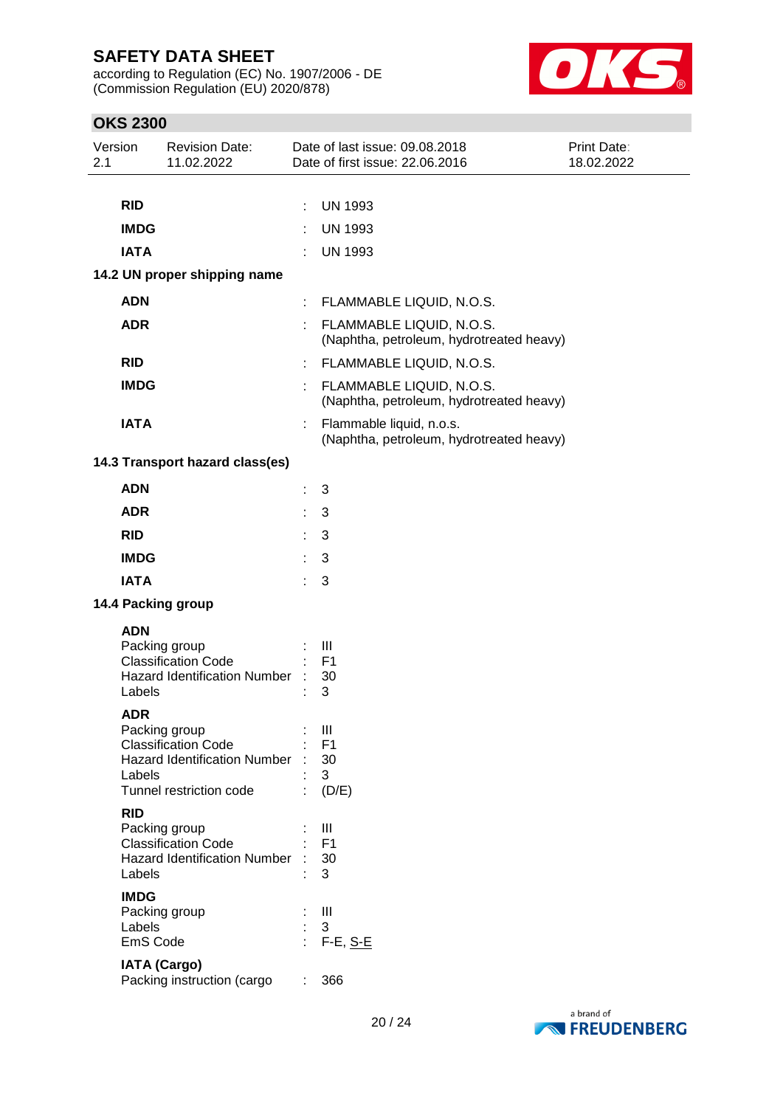according to Regulation (EC) No. 1907/2006 - DE (Commission Regulation (EU) 2020/878)



| Version<br>2.1 |                                               | <b>Revision Date:</b><br>11.02.2022                                                                           |          | Date of last issue: 09.08.2018<br>Date of first issue: 22.06.2016       | Print Date:<br>18.02.2022 |  |  |  |
|----------------|-----------------------------------------------|---------------------------------------------------------------------------------------------------------------|----------|-------------------------------------------------------------------------|---------------------------|--|--|--|
|                |                                               |                                                                                                               |          |                                                                         |                           |  |  |  |
|                | <b>RID</b>                                    |                                                                                                               | ÷        | <b>UN 1993</b>                                                          |                           |  |  |  |
|                | <b>IMDG</b>                                   |                                                                                                               | ÷        | <b>UN 1993</b>                                                          |                           |  |  |  |
|                | <b>IATA</b>                                   |                                                                                                               |          | <b>UN 1993</b>                                                          |                           |  |  |  |
|                |                                               | 14.2 UN proper shipping name                                                                                  |          |                                                                         |                           |  |  |  |
|                | <b>ADN</b>                                    |                                                                                                               |          | : FLAMMABLE LIQUID, N.O.S.                                              |                           |  |  |  |
|                | <b>ADR</b>                                    |                                                                                                               |          | : FLAMMABLE LIQUID, N.O.S.<br>(Naphtha, petroleum, hydrotreated heavy)  |                           |  |  |  |
|                | <b>RID</b>                                    |                                                                                                               |          | : FLAMMABLE LIQUID, N.O.S.                                              |                           |  |  |  |
|                | <b>IMDG</b>                                   |                                                                                                               | ÷.       | FLAMMABLE LIQUID, N.O.S.<br>(Naphtha, petroleum, hydrotreated heavy)    |                           |  |  |  |
|                | <b>IATA</b>                                   |                                                                                                               |          | Flammable liquid, n.o.s.<br>(Naphtha, petroleum, hydrotreated heavy)    |                           |  |  |  |
|                |                                               | 14.3 Transport hazard class(es)                                                                               |          |                                                                         |                           |  |  |  |
|                | <b>ADN</b>                                    |                                                                                                               | ÷        | 3                                                                       |                           |  |  |  |
|                | <b>ADR</b>                                    |                                                                                                               |          | 3                                                                       |                           |  |  |  |
|                | <b>RID</b>                                    |                                                                                                               | ÷        | 3                                                                       |                           |  |  |  |
|                | <b>IMDG</b>                                   |                                                                                                               |          | 3                                                                       |                           |  |  |  |
|                | <b>IATA</b>                                   |                                                                                                               |          | 3                                                                       |                           |  |  |  |
|                |                                               | 14.4 Packing group                                                                                            |          |                                                                         |                           |  |  |  |
|                | <b>ADN</b><br>Labels                          | Packing group<br><b>Classification Code</b><br><b>Hazard Identification Number</b>                            |          | Ш<br>F <sub>1</sub><br>30<br>3                                          |                           |  |  |  |
|                | <b>ADR</b><br>Labels                          | Packing group<br><b>Classification Code</b><br><b>Hazard Identification Number</b><br>Tunnel restriction code |          | Ш<br>F <sub>1</sub><br>30<br>3<br>(D/E)                                 |                           |  |  |  |
|                | <b>RID</b><br>Labels<br><b>IMDG</b><br>Labels | Packing group<br><b>Classification Code</b><br><b>Hazard Identification Number</b><br>Packing group           |          | Ш<br>F <sub>1</sub><br>30<br>3<br>$\mathop{\mathrm{III}}\nolimits$<br>3 |                           |  |  |  |
|                | EmS Code                                      | <b>IATA (Cargo)</b><br>Packing instruction (cargo                                                             | ×,<br>t. | $F-E, S-E$<br>366                                                       |                           |  |  |  |

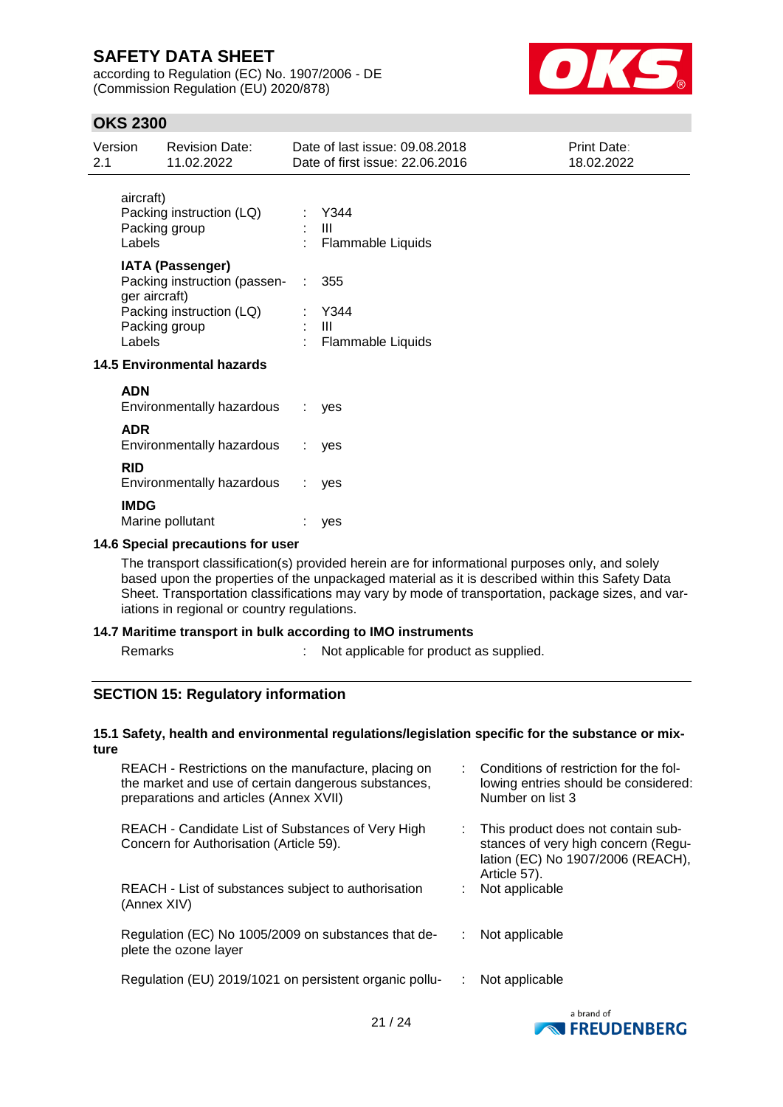according to Regulation (EC) No. 1907/2006 - DE (Commission Regulation (EU) 2020/878)



### **OKS 2300**

| 2.1 | Version                   | <b>Revision Date:</b><br>11.02.2022                                                                                                       |                                   | Date of last issue: 09.08.2018<br>Date of first issue: 22.06.2016 | Print Date:<br>18.02.2022 |
|-----|---------------------------|-------------------------------------------------------------------------------------------------------------------------------------------|-----------------------------------|-------------------------------------------------------------------|---------------------------|
|     | aircraft)<br>Labels       | Packing instruction (LQ)<br>Packing group                                                                                                 |                                   | Y344<br>: III<br>: Flammable Liquids                              |                           |
|     | ger aircraft)<br>Labels   | <b>IATA (Passenger)</b><br>Packing instruction (passen-<br>Packing instruction (LQ)<br>Packing group<br><b>14.5 Environmental hazards</b> |                                   | 355<br>Y344<br>: III<br>Flammable Liquids                         |                           |
|     | <b>ADN</b><br><b>ADR</b>  | Environmentally hazardous<br>Environmentally hazardous                                                                                    | ÷.<br>$\mathcal{L}^{\mathcal{L}}$ | yes                                                               |                           |
|     | <b>RID</b><br><b>IMDG</b> | Environmentally hazardous                                                                                                                 |                                   | yes<br>: yes                                                      |                           |

### Marine pollutant : yes **14.6 Special precautions for user**

The transport classification(s) provided herein are for informational purposes only, and solely based upon the properties of the unpackaged material as it is described within this Safety Data Sheet. Transportation classifications may vary by mode of transportation, package sizes, and variations in regional or country regulations.

#### **14.7 Maritime transport in bulk according to IMO instruments**

Remarks : Not applicable for product as supplied.

#### **SECTION 15: Regulatory information**

#### **15.1 Safety, health and environmental regulations/legislation specific for the substance or mixture**

| REACH - Restrictions on the manufacture, placing on<br>the market and use of certain dangerous substances,<br>preparations and articles (Annex XVII) | Conditions of restriction for the fol-<br>lowing entries should be considered:<br>Number on list 3                             |
|------------------------------------------------------------------------------------------------------------------------------------------------------|--------------------------------------------------------------------------------------------------------------------------------|
| REACH - Candidate List of Substances of Very High<br>Concern for Authorisation (Article 59).                                                         | This product does not contain sub-<br>stances of very high concern (Regu-<br>lation (EC) No 1907/2006 (REACH),<br>Article 57). |
| REACH - List of substances subject to authorisation<br>(Annex XIV)                                                                                   | Not applicable                                                                                                                 |
| Regulation (EC) No 1005/2009 on substances that de-<br>plete the ozone layer                                                                         | Not applicable                                                                                                                 |
| Regulation (EU) 2019/1021 on persistent organic pollu-                                                                                               | Not applicable                                                                                                                 |
|                                                                                                                                                      |                                                                                                                                |

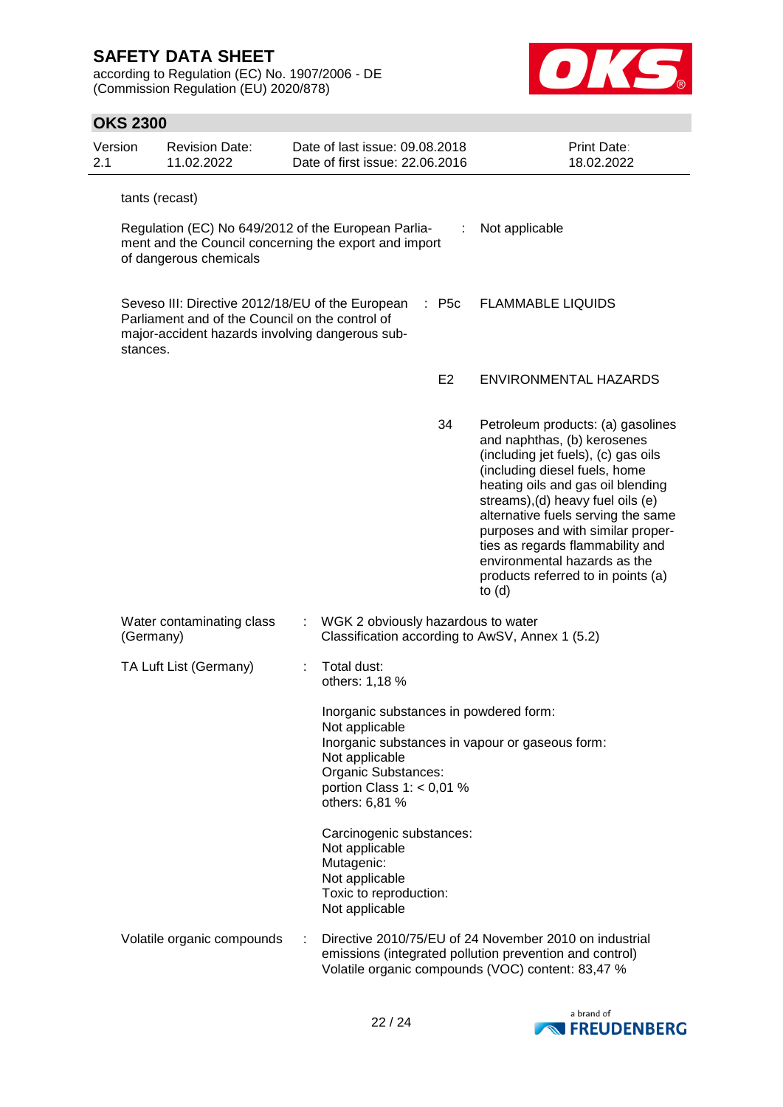according to Regulation (EC) No. 1907/2006 - DE (Commission Regulation (EU) 2020/878)



| Version<br>2.1 |                                                                                                                                                                                                                    | <b>Revision Date:</b><br>11.02.2022 |  | Date of last issue: 09.08.2018<br>Date of first issue: 22.06.2016                                                                                  |                | <b>Print Date:</b><br>18.02.2022                                                                                                                                                                                                                                                                                                                                                                                    |  |  |  |  |
|----------------|--------------------------------------------------------------------------------------------------------------------------------------------------------------------------------------------------------------------|-------------------------------------|--|----------------------------------------------------------------------------------------------------------------------------------------------------|----------------|---------------------------------------------------------------------------------------------------------------------------------------------------------------------------------------------------------------------------------------------------------------------------------------------------------------------------------------------------------------------------------------------------------------------|--|--|--|--|
|                | tants (recast)                                                                                                                                                                                                     |                                     |  |                                                                                                                                                    |                |                                                                                                                                                                                                                                                                                                                                                                                                                     |  |  |  |  |
|                | Regulation (EC) No 649/2012 of the European Parlia-<br>Not applicable<br>ment and the Council concerning the export and import<br>of dangerous chemicals                                                           |                                     |  |                                                                                                                                                    |                |                                                                                                                                                                                                                                                                                                                                                                                                                     |  |  |  |  |
|                | Seveso III: Directive 2012/18/EU of the European<br>$\therefore$ P5c<br><b>FLAMMABLE LIQUIDS</b><br>Parliament and of the Council on the control of<br>major-accident hazards involving dangerous sub-<br>stances. |                                     |  |                                                                                                                                                    |                |                                                                                                                                                                                                                                                                                                                                                                                                                     |  |  |  |  |
|                |                                                                                                                                                                                                                    |                                     |  |                                                                                                                                                    | E <sub>2</sub> | ENVIRONMENTAL HAZARDS                                                                                                                                                                                                                                                                                                                                                                                               |  |  |  |  |
|                |                                                                                                                                                                                                                    |                                     |  |                                                                                                                                                    | 34             | Petroleum products: (a) gasolines<br>and naphthas, (b) kerosenes<br>(including jet fuels), (c) gas oils<br>(including diesel fuels, home<br>heating oils and gas oil blending<br>streams), (d) heavy fuel oils (e)<br>alternative fuels serving the same<br>purposes and with similar proper-<br>ties as regards flammability and<br>environmental hazards as the<br>products referred to in points (a)<br>to $(d)$ |  |  |  |  |
|                | (Germany)                                                                                                                                                                                                          | Water contaminating class           |  | : WGK 2 obviously hazardous to water                                                                                                               |                | Classification according to AwSV, Annex 1 (5.2)                                                                                                                                                                                                                                                                                                                                                                     |  |  |  |  |
|                |                                                                                                                                                                                                                    | TA Luft List (Germany)              |  | Total dust:<br>others: 1,18 %                                                                                                                      |                |                                                                                                                                                                                                                                                                                                                                                                                                                     |  |  |  |  |
|                |                                                                                                                                                                                                                    |                                     |  | Inorganic substances in powdered form:<br>Not applicable<br>Not applicable<br>Organic Substances:<br>portion Class 1: $<$ 0,01 %<br>others: 6,81 % |                | Inorganic substances in vapour or gaseous form:                                                                                                                                                                                                                                                                                                                                                                     |  |  |  |  |
|                |                                                                                                                                                                                                                    |                                     |  | Carcinogenic substances:<br>Not applicable<br>Mutagenic:<br>Not applicable<br>Toxic to reproduction:<br>Not applicable                             |                |                                                                                                                                                                                                                                                                                                                                                                                                                     |  |  |  |  |
|                |                                                                                                                                                                                                                    | Volatile organic compounds          |  |                                                                                                                                                    |                | Directive 2010/75/EU of 24 November 2010 on industrial<br>emissions (integrated pollution prevention and control)<br>Volatile organic compounds (VOC) content: 83,47 %                                                                                                                                                                                                                                              |  |  |  |  |

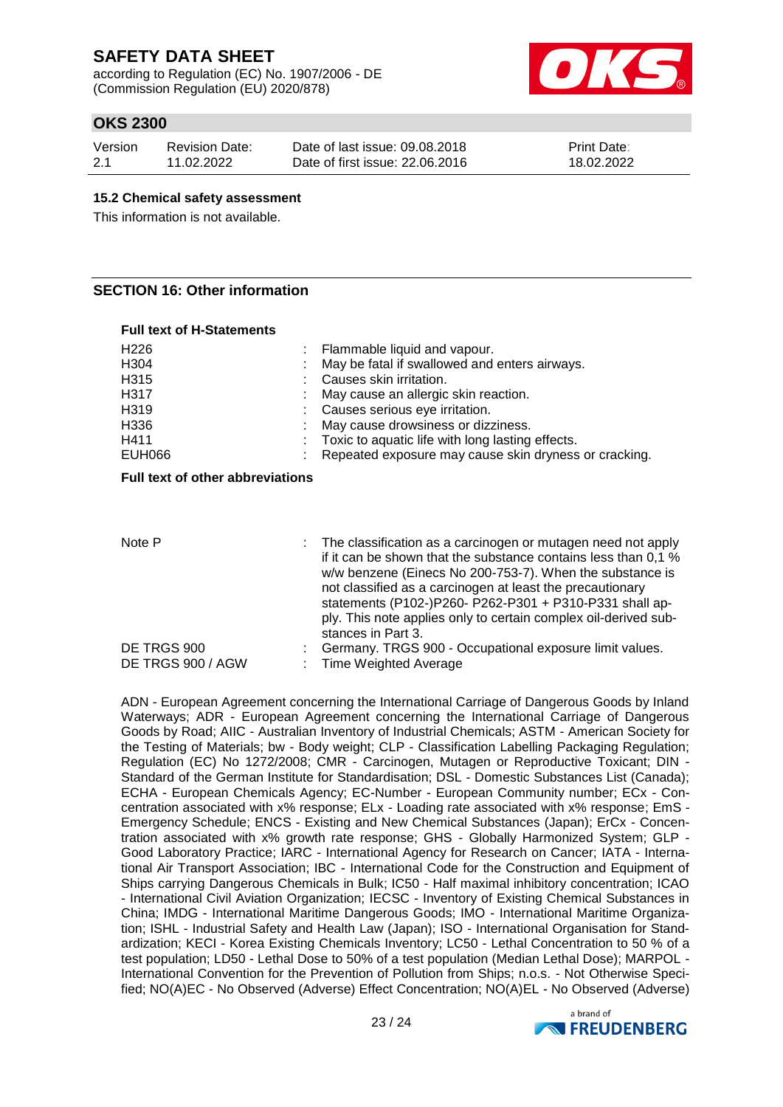according to Regulation (EC) No. 1907/2006 - DE (Commission Regulation (EU) 2020/878)



### **OKS 2300**

| Version | <b>Revision Date:</b> | Date of last issue: 09.08.2018  | <b>Print Date:</b> |
|---------|-----------------------|---------------------------------|--------------------|
| 2.1     | 11.02.2022            | Date of first issue: 22,06,2016 | 18.02.2022         |

#### **15.2 Chemical safety assessment**

This information is not available.

### **SECTION 16: Other information**

| <b>Full text of H-Statements</b> |                                                         |
|----------------------------------|---------------------------------------------------------|
| H <sub>226</sub>                 | : Flammable liquid and vapour.                          |
| H <sub>304</sub>                 | May be fatal if swallowed and enters airways.           |
| H315                             | Causes skin irritation.                                 |
| H317                             | : May cause an allergic skin reaction.                  |
| H <sub>3</sub> 19                | : Causes serious eye irritation.                        |
| H336                             | : May cause drowsiness or dizziness.                    |
| H411                             | : Toxic to aquatic life with long lasting effects.      |
| <b>EUH066</b>                    | : Repeated exposure may cause skin dryness or cracking. |

#### **Full text of other abbreviations**

| Note P            | : The classification as a carcinogen or mutagen need not apply<br>if it can be shown that the substance contains less than 0,1 %<br>w/w benzene (Einecs No 200-753-7). When the substance is<br>not classified as a carcinogen at least the precautionary<br>statements (P102-)P260- P262-P301 + P310-P331 shall ap-<br>ply. This note applies only to certain complex oil-derived sub-<br>stances in Part 3. |
|-------------------|---------------------------------------------------------------------------------------------------------------------------------------------------------------------------------------------------------------------------------------------------------------------------------------------------------------------------------------------------------------------------------------------------------------|
| DE TRGS 900       | Germany. TRGS 900 - Occupational exposure limit values.                                                                                                                                                                                                                                                                                                                                                       |
| DE TRGS 900 / AGW | : Time Weighted Average                                                                                                                                                                                                                                                                                                                                                                                       |

ADN - European Agreement concerning the International Carriage of Dangerous Goods by Inland Waterways; ADR - European Agreement concerning the International Carriage of Dangerous Goods by Road; AIIC - Australian Inventory of Industrial Chemicals; ASTM - American Society for the Testing of Materials; bw - Body weight; CLP - Classification Labelling Packaging Regulation; Regulation (EC) No 1272/2008; CMR - Carcinogen, Mutagen or Reproductive Toxicant; DIN - Standard of the German Institute for Standardisation; DSL - Domestic Substances List (Canada); ECHA - European Chemicals Agency; EC-Number - European Community number; ECx - Concentration associated with x% response; ELx - Loading rate associated with x% response; EmS - Emergency Schedule; ENCS - Existing and New Chemical Substances (Japan); ErCx - Concentration associated with x% growth rate response; GHS - Globally Harmonized System; GLP - Good Laboratory Practice; IARC - International Agency for Research on Cancer; IATA - International Air Transport Association; IBC - International Code for the Construction and Equipment of Ships carrying Dangerous Chemicals in Bulk; IC50 - Half maximal inhibitory concentration; ICAO - International Civil Aviation Organization; IECSC - Inventory of Existing Chemical Substances in China; IMDG - International Maritime Dangerous Goods; IMO - International Maritime Organization; ISHL - Industrial Safety and Health Law (Japan); ISO - International Organisation for Standardization; KECI - Korea Existing Chemicals Inventory; LC50 - Lethal Concentration to 50 % of a test population; LD50 - Lethal Dose to 50% of a test population (Median Lethal Dose); MARPOL - International Convention for the Prevention of Pollution from Ships; n.o.s. - Not Otherwise Specified; NO(A)EC - No Observed (Adverse) Effect Concentration; NO(A)EL - No Observed (Adverse)